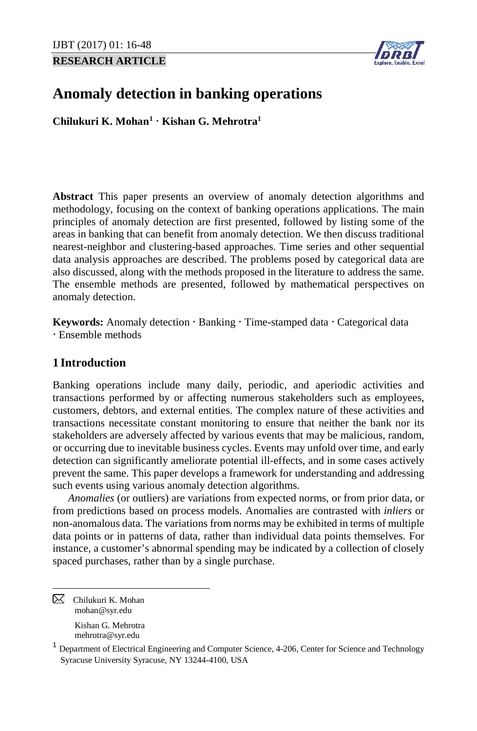## **RESEARCH ARTICLE**



# **Anomaly detection in banking operations**

**Chilukuri K. Mohan[1](#page-0-0) Kishan G. Mehrotra1**

**Abstract** This paper presents an overview of anomaly detection algorithms and methodology, focusing on the context of banking operations applications. The main principles of anomaly detection are first presented, followed by listing some of the areas in banking that can benefit from anomaly detection. We then discuss traditional nearest-neighbor and clustering-based approaches. Time series and other sequential data analysis approaches are described. The problems posed by categorical data are also discussed, along with the methods proposed in the literature to address the same. The ensemble methods are presented, followed by mathematical perspectives on anomaly detection.

**Keywords:** Anomaly detection  $\cdot$  Banking  $\cdot$  Time-stamped data  $\cdot$  Categorical data Ensemble methods

## **1 Introduction**

Banking operations include many daily, periodic, and aperiodic activities and transactions performed by or affecting numerous stakeholders such as employees, customers, debtors, and external entities. The complex nature of these activities and transactions necessitate constant monitoring to ensure that neither the bank nor its stakeholders are adversely affected by various events that may be malicious, random, or occurring due to inevitable business cycles. Events may unfold over time, and early detection can significantly ameliorate potential ill-effects, and in some cases actively prevent the same. This paper develops a framework for understanding and addressing such events using various anomaly detection algorithms.

*Anomalies* (or outliers) are variations from expected norms, or from prior data, or from predictions based on process models. Anomalies are contrasted with *inliers* or non-anomalous data. The variations from norms may be exhibited in terms of multiple data points or in patterns of data, rather than individual data points themselves. For instance, a customer's abnormal spending may be indicated by a collection of closely spaced purchases, rather than by a single purchase.

<span id="page-0-0"></span> $\boxtimes$  Chilukuri K. Mohan mohan@syr.edu Kishan G. Mehrotra

mehrotra@syr.edu

<sup>1</sup> Department of Electrical Engineering and Computer Science, 4-206, Center for Science and Technology Syracuse University Syracuse, NY 13244-4100, USA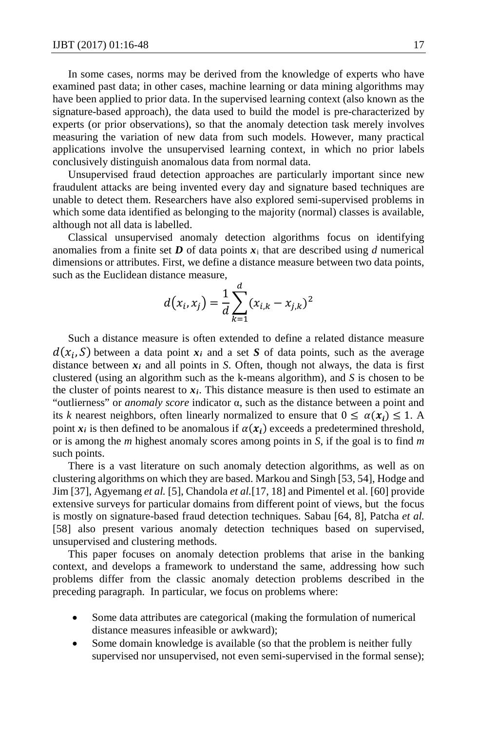In some cases, norms may be derived from the knowledge of experts who have examined past data; in other cases, machine learning or data mining algorithms may have been applied to prior data. In the supervised learning context (also known as the signature-based approach), the data used to build the model is pre-characterized by experts (or prior observations), so that the anomaly detection task merely involves measuring the variation of new data from such models. However, many practical applications involve the unsupervised learning context, in which no prior labels conclusively distinguish anomalous data from normal data.

Unsupervised fraud detection approaches are particularly important since new fraudulent attacks are being invented every day and signature based techniques are unable to detect them. Researchers have also explored semi-supervised problems in which some data identified as belonging to the majority (normal) classes is available, although not all data is labelled.

Classical unsupervised anomaly detection algorithms focus on identifying anomalies from a finite set  $\boldsymbol{D}$  of data points  $\boldsymbol{x}_i$  that are described using  $d$  numerical dimensions or attributes. First, we define a distance measure between two data points, such as the Euclidean distance measure,

$$
d(x_i, x_j) = \frac{1}{d} \sum_{k=1}^{d} (x_{i,k} - x_{j,k})^2
$$

Such a distance measure is often extended to define a related distance measure  $d(x_i, S)$  between a data point  $x_i$  and a set *S* of data points, such as the average distance between  $x_i$  and all points in *S*. Often, though not always, the data is first clustered (using an algorithm such as the k-means algorithm), and *S* is chosen to be the cluster of points nearest to  $x_i$ . This distance measure is then used to estimate an "outlierness" or *anomaly score* indicator α, such as the distance between a point and its *k* nearest neighbors, often linearly normalized to ensure that  $0 \le \alpha(x_i) \le 1$ . A point  $x_i$  is then defined to be anomalous if  $\alpha(x_i)$  exceeds a predetermined threshold, or is among the *m* highest anomaly scores among points in *S*, if the goal is to find *m* such points.

There is a vast literature on such anomaly detection algorithms, as well as on clustering algorithms on which they are based. Markou and Singh [53, 54], Hodge and Jim [37], Agyemang *et al.* [5], Chandola *et al.*[17, 18] and Pimentel et al. [60] provide extensive surveys for particular domains from different point of views, but the focus is mostly on signature-based fraud detection techniques. Sabau [64, 8], Patcha *et al.* [58] also present various anomaly detection techniques based on supervised, unsupervised and clustering methods.

This paper focuses on anomaly detection problems that arise in the banking context, and develops a framework to understand the same, addressing how such problems differ from the classic anomaly detection problems described in the preceding paragraph. In particular, we focus on problems where:

- Some data attributes are categorical (making the formulation of numerical distance measures infeasible or awkward);
- Some domain knowledge is available (so that the problem is neither fully supervised nor unsupervised, not even semi-supervised in the formal sense);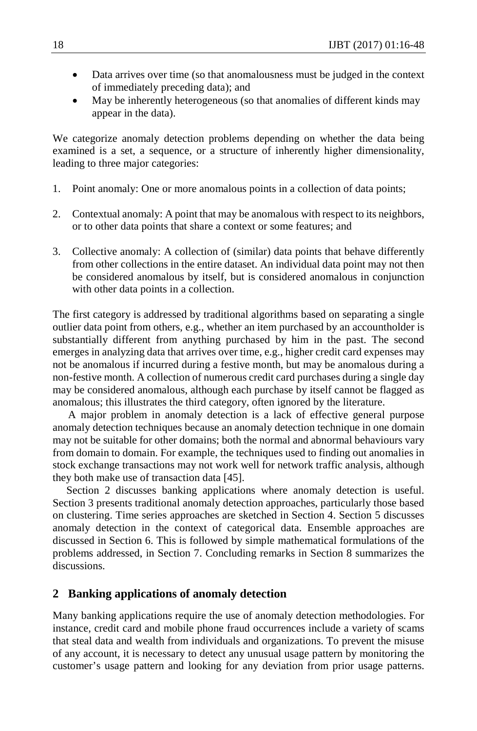- Data arrives over time (so that anomalousness must be judged in the context of immediately preceding data); and
- May be inherently heterogeneous (so that anomalies of different kinds may appear in the data).

We categorize anomaly detection problems depending on whether the data being examined is a set, a sequence, or a structure of inherently higher dimensionality, leading to three major categories:

- 1. Point anomaly: One or more anomalous points in a collection of data points;
- 2. Contextual anomaly: A point that may be anomalous with respect to its neighbors, or to other data points that share a context or some features; and
- 3. Collective anomaly: A collection of (similar) data points that behave differently from other collections in the entire dataset. An individual data point may not then be considered anomalous by itself, but is considered anomalous in conjunction with other data points in a collection.

The first category is addressed by traditional algorithms based on separating a single outlier data point from others, e.g., whether an item purchased by an accountholder is substantially different from anything purchased by him in the past. The second emerges in analyzing data that arrives over time, e.g., higher credit card expenses may not be anomalous if incurred during a festive month, but may be anomalous during a non-festive month. A collection of numerous credit card purchases during a single day may be considered anomalous, although each purchase by itself cannot be flagged as anomalous; this illustrates the third category, often ignored by the literature.

A major problem in anomaly detection is a lack of effective general purpose anomaly detection techniques because an anomaly detection technique in one domain may not be suitable for other domains; both the normal and abnormal behaviours vary from domain to domain. For example, the techniques used to finding out anomalies in stock exchange transactions may not work well for network traffic analysis, although they both make use of transaction data [45].

 Section 2 discusses banking applications where anomaly detection is useful. Section 3 presents traditional anomaly detection approaches, particularly those based on clustering. Time series approaches are sketched in Section 4. Section 5 discusses anomaly detection in the context of categorical data. Ensemble approaches are discussed in Section 6. This is followed by simple mathematical formulations of the problems addressed, in Section 7. Concluding remarks in Section 8 summarizes the discussions.

## **2 Banking applications of anomaly detection**

Many banking applications require the use of anomaly detection methodologies. For instance, credit card and mobile phone fraud occurrences include a variety of scams that steal data and wealth from individuals and organizations. To prevent the misuse of any account, it is necessary to detect any unusual usage pattern by monitoring the customer's usage pattern and looking for any deviation from prior usage patterns.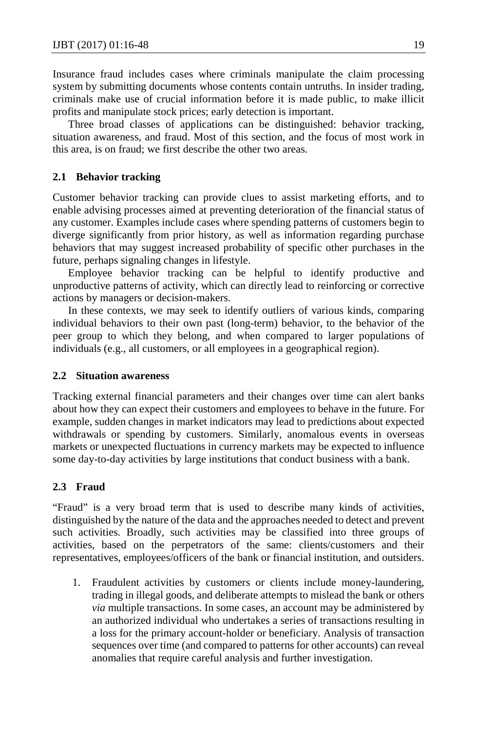Insurance fraud includes cases where criminals manipulate the claim processing system by submitting documents whose contents contain untruths. In insider trading, criminals make use of crucial information before it is made public, to make illicit profits and manipulate stock prices; early detection is important.

Three broad classes of applications can be distinguished: behavior tracking, situation awareness, and fraud. Most of this section, and the focus of most work in this area, is on fraud; we first describe the other two areas.

### **2.1 Behavior tracking**

Customer behavior tracking can provide clues to assist marketing efforts, and to enable advising processes aimed at preventing deterioration of the financial status of any customer. Examples include cases where spending patterns of customers begin to diverge significantly from prior history, as well as information regarding purchase behaviors that may suggest increased probability of specific other purchases in the future, perhaps signaling changes in lifestyle.

Employee behavior tracking can be helpful to identify productive and unproductive patterns of activity, which can directly lead to reinforcing or corrective actions by managers or decision-makers.

In these contexts, we may seek to identify outliers of various kinds, comparing individual behaviors to their own past (long-term) behavior, to the behavior of the peer group to which they belong, and when compared to larger populations of individuals (e.g., all customers, or all employees in a geographical region).

### **2.2 Situation awareness**

Tracking external financial parameters and their changes over time can alert banks about how they can expect their customers and employees to behave in the future. For example, sudden changes in market indicators may lead to predictions about expected withdrawals or spending by customers. Similarly, anomalous events in overseas markets or unexpected fluctuations in currency markets may be expected to influence some day-to-day activities by large institutions that conduct business with a bank.

## **2.3 Fraud**

"Fraud" is a very broad term that is used to describe many kinds of activities, distinguished by the nature of the data and the approaches needed to detect and prevent such activities. Broadly, such activities may be classified into three groups of activities, based on the perpetrators of the same: clients/customers and their representatives, employees/officers of the bank or financial institution, and outsiders.

1. Fraudulent activities by customers or clients include money-laundering, trading in illegal goods, and deliberate attempts to mislead the bank or others *via* multiple transactions. In some cases, an account may be administered by an authorized individual who undertakes a series of transactions resulting in a loss for the primary account-holder or beneficiary. Analysis of transaction sequences over time (and compared to patterns for other accounts) can reveal anomalies that require careful analysis and further investigation.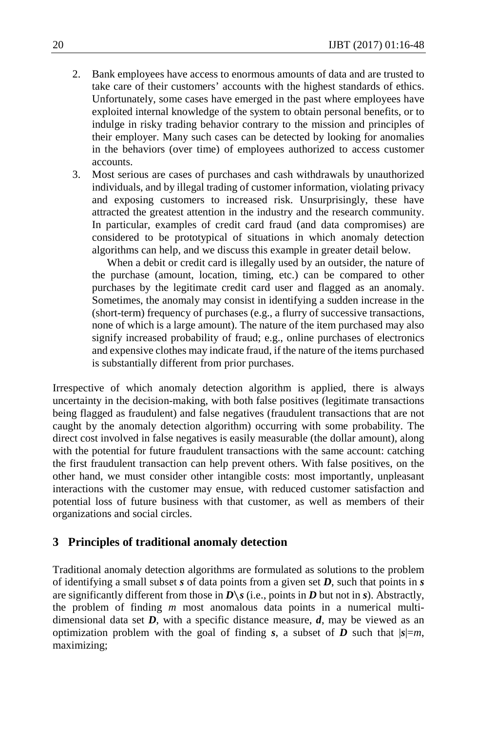- 2. Bank employees have access to enormous amounts of data and are trusted to take care of their customers' accounts with the highest standards of ethics. Unfortunately, some cases have emerged in the past where employees have exploited internal knowledge of the system to obtain personal benefits, or to indulge in risky trading behavior contrary to the mission and principles of their employer. Many such cases can be detected by looking for anomalies in the behaviors (over time) of employees authorized to access customer accounts.
- 3. Most serious are cases of purchases and cash withdrawals by unauthorized individuals, and by illegal trading of customer information, violating privacy and exposing customers to increased risk. Unsurprisingly, these have attracted the greatest attention in the industry and the research community. In particular, examples of credit card fraud (and data compromises) are considered to be prototypical of situations in which anomaly detection algorithms can help, and we discuss this example in greater detail below.

When a debit or credit card is illegally used by an outsider, the nature of the purchase (amount, location, timing, etc.) can be compared to other purchases by the legitimate credit card user and flagged as an anomaly. Sometimes, the anomaly may consist in identifying a sudden increase in the (short-term) frequency of purchases (e.g., a flurry of successive transactions, none of which is a large amount). The nature of the item purchased may also signify increased probability of fraud; e.g., online purchases of electronics and expensive clothes may indicate fraud, if the nature of the items purchased is substantially different from prior purchases.

Irrespective of which anomaly detection algorithm is applied, there is always uncertainty in the decision-making, with both false positives (legitimate transactions being flagged as fraudulent) and false negatives (fraudulent transactions that are not caught by the anomaly detection algorithm) occurring with some probability. The direct cost involved in false negatives is easily measurable (the dollar amount), along with the potential for future fraudulent transactions with the same account: catching the first fraudulent transaction can help prevent others. With false positives, on the other hand, we must consider other intangible costs: most importantly, unpleasant interactions with the customer may ensue, with reduced customer satisfaction and potential loss of future business with that customer, as well as members of their organizations and social circles.

## **3 Principles of traditional anomaly detection**

Traditional anomaly detection algorithms are formulated as solutions to the problem of identifying a small subset *s* of data points from a given set *D*, such that points in *s* are significantly different from those in  $D\$ *s* (i.e., points in *D* but not in *s*). Abstractly, the problem of finding *m* most anomalous data points in a numerical multidimensional data set  $D$ , with a specific distance measure,  $d$ , may be viewed as an optimization problem with the goal of finding *s*, a subset of *D* such that  $|s|=m$ , maximizing;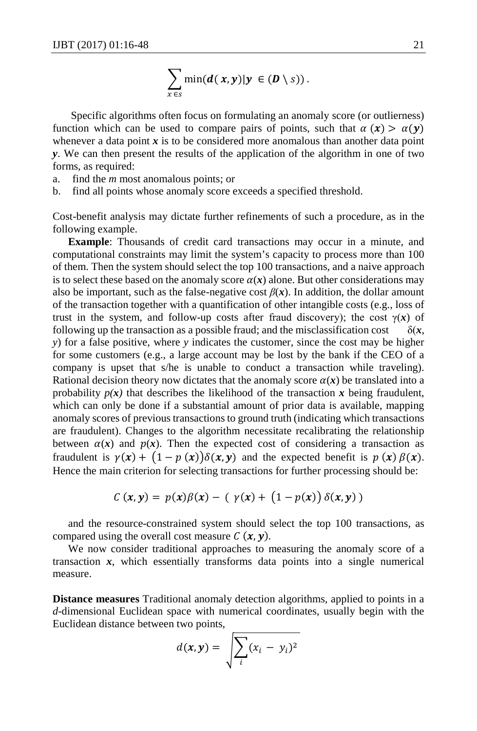$$
\sum_{x \in s} \min(d(x,y)|y \in (D \setminus s)).
$$

Specific algorithms often focus on formulating an anomaly score (or outlierness) function which can be used to compare pairs of points, such that  $\alpha(x) > \alpha(y)$ whenever a data point x is to be considered more anomalous than another data point *y*. We can then present the results of the application of the algorithm in one of two forms, as required:

- a. find the *m* most anomalous points; or
- b. find all points whose anomaly score exceeds a specified threshold.

Cost-benefit analysis may dictate further refinements of such a procedure, as in the following example.

**Example**: Thousands of credit card transactions may occur in a minute, and computational constraints may limit the system's capacity to process more than 100 of them. Then the system should select the top 100 transactions, and a naive approach is to select these based on the anomaly score  $\alpha(x)$  alone. But other considerations may also be important, such as the false-negative cost  $\beta(x)$ . In addition, the dollar amount of the transaction together with a quantification of other intangible costs (e.g., loss of trust in the system, and follow-up costs after fraud discovery); the cost  $\gamma(x)$  of following up the transaction as a possible fraud; and the misclassification cost  $\delta(x,$ *y*) for a false positive, where *y* indicates the customer, since the cost may be higher for some customers (e.g., a large account may be lost by the bank if the CEO of a company is upset that s/he is unable to conduct a transaction while traveling). Rational decision theory now dictates that the anomaly score  $\alpha(x)$  be translated into a probability  $p(x)$  that describes the likelihood of the transaction x being fraudulent, which can only be done if a substantial amount of prior data is available, mapping anomaly scores of previous transactions to ground truth (indicating which transactions are fraudulent). Changes to the algorithm necessitate recalibrating the relationship between  $\alpha(x)$  and  $p(x)$ . Then the expected cost of considering a transaction as fraudulent is  $\gamma(x) + (1 - p(x))\delta(x, y)$  and the expected benefit is  $p(x) \beta(x)$ . Hence the main criterion for selecting transactions for further processing should be:

$$
C(x,y) = p(x)\beta(x) - (\gamma(x) + (1 - p(x))\delta(x,y))
$$

and the resource-constrained system should select the top 100 transactions, as compared using the overall cost measure  $C(x, y)$ .

We now consider traditional approaches to measuring the anomaly score of a transaction *x*, which essentially transforms data points into a single numerical measure.

**Distance measures** Traditional anomaly detection algorithms, applied to points in a *d*-dimensional Euclidean space with numerical coordinates, usually begin with the Euclidean distance between two points,

$$
d(\pmb{x},\pmb{y})=\sqrt{\sum_i(x_i-y_i)^2}
$$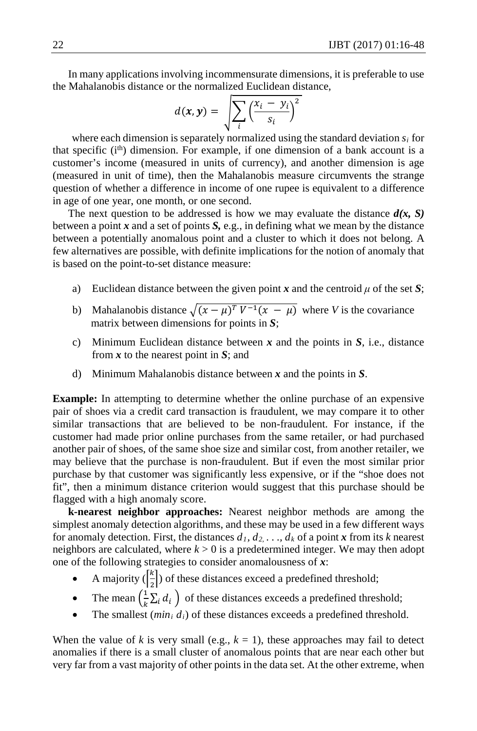In many applications involving incommensurate dimensions, it is preferable to use the Mahalanobis distance or the normalized Euclidean distance,

$$
d(\pmb{x},\pmb{y}) = \sqrt{\sum_i \left(\frac{x_i - y_i}{s_i}\right)^2}
$$

 where each dimension is separately normalized using the standard deviation *si* for that specific  $(i<sup>th</sup>)$  dimension. For example, if one dimension of a bank account is a customer's income (measured in units of currency), and another dimension is age (measured in unit of time), then the Mahalanobis measure circumvents the strange question of whether a difference in income of one rupee is equivalent to a difference in age of one year, one month, or one second.

The next question to be addressed is how we may evaluate the distance  $d(x, S)$ between a point *x* and a set of points *S,* e.g., in defining what we mean by the distance between a potentially anomalous point and a cluster to which it does not belong. A few alternatives are possible, with definite implications for the notion of anomaly that is based on the point-to-set distance measure:

- a) Euclidean distance between the given point  $x$  and the centroid  $\mu$  of the set  $S$ ;
- b) Mahalanobis distance  $\sqrt{(x \mu)^T V^{-1}(x \mu)}$  where *V* is the covariance matrix between dimensions for points in *S*;
- c) Minimum Euclidean distance between *x* and the points in *S*, i.e., distance from *x* to the nearest point in *S*; and
- d) Minimum Mahalanobis distance between *x* and the points in *S*.

**Example:** In attempting to determine whether the online purchase of an expensive pair of shoes via a credit card transaction is fraudulent, we may compare it to other similar transactions that are believed to be non-fraudulent. For instance, if the customer had made prior online purchases from the same retailer, or had purchased another pair of shoes, of the same shoe size and similar cost, from another retailer, we may believe that the purchase is non-fraudulent. But if even the most similar prior purchase by that customer was significantly less expensive, or if the "shoe does not fit", then a minimum distance criterion would suggest that this purchase should be flagged with a high anomaly score.

**k-nearest neighbor approaches:** Nearest neighbor methods are among the simplest anomaly detection algorithms, and these may be used in a few different ways for anomaly detection. First, the distances  $d_1, d_2, \ldots, d_k$  of a point *x* from its *k* nearest neighbors are calculated, where *k* > 0 is a predetermined integer. We may then adopt one of the following strategies to consider anomalousness of *x*:

- A majority  $\left(\frac{k}{2}\right)$  $\frac{\pi}{2}$ ) of these distances exceed a predefined threshold;
- The mean  $\left(\frac{1}{k}\sum_i d_i\right)$  of these distances exceeds a predefined threshold;
- The smallest ( $min_i d_i$ ) of these distances exceeds a predefined threshold.

When the value of *k* is very small (e.g.,  $k = 1$ ), these approaches may fail to detect anomalies if there is a small cluster of anomalous points that are near each other but very far from a vast majority of other points in the data set. At the other extreme, when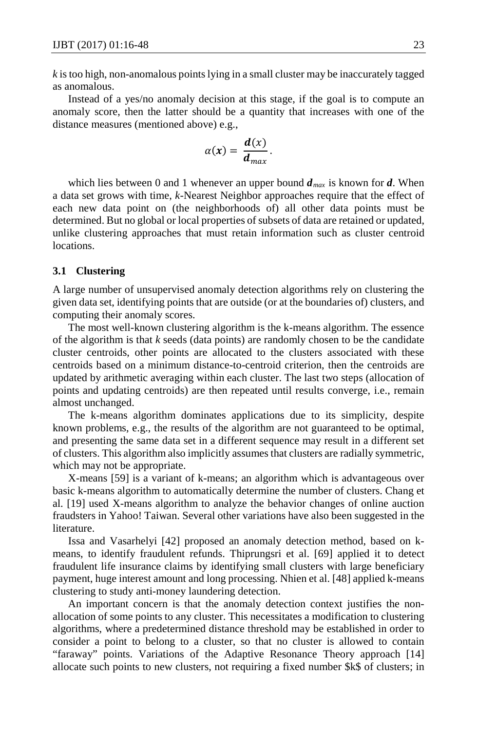*k* is too high, non-anomalous points lying in a small cluster may be inaccurately tagged as anomalous.

Instead of a yes/no anomaly decision at this stage, if the goal is to compute an anomaly score, then the latter should be a quantity that increases with one of the distance measures (mentioned above) e.g.,

$$
\alpha(x)=\frac{d(x)}{d_{max}}.
$$

which lies between 0 and 1 whenever an upper bound  $d_{max}$  is known for  $d$ . When a data set grows with time, *k*-Nearest Neighbor approaches require that the effect of each new data point on (the neighborhoods of) all other data points must be determined. But no global or local properties of subsets of data are retained or updated, unlike clustering approaches that must retain information such as cluster centroid locations.

### **3.1 Clustering**

A large number of unsupervised anomaly detection algorithms rely on clustering the given data set, identifying points that are outside (or at the boundaries of) clusters, and computing their anomaly scores.

The most well-known clustering algorithm is the k-means algorithm. The essence of the algorithm is that *k* seeds (data points) are randomly chosen to be the candidate cluster centroids, other points are allocated to the clusters associated with these centroids based on a minimum distance-to-centroid criterion, then the centroids are updated by arithmetic averaging within each cluster. The last two steps (allocation of points and updating centroids) are then repeated until results converge, i.e., remain almost unchanged.

The k-means algorithm dominates applications due to its simplicity, despite known problems, e.g., the results of the algorithm are not guaranteed to be optimal, and presenting the same data set in a different sequence may result in a different set of clusters. This algorithm also implicitly assumes that clusters are radially symmetric, which may not be appropriate.

X-means [59] is a variant of k-means; an algorithm which is advantageous over basic k-means algorithm to automatically determine the number of clusters. Chang et al. [19] used X-means algorithm to analyze the behavior changes of online auction fraudsters in Yahoo! Taiwan. Several other variations have also been suggested in the literature.

Issa and Vasarhelyi [42] proposed an anomaly detection method, based on kmeans, to identify fraudulent refunds. Thiprungsri et al. [69] applied it to detect fraudulent life insurance claims by identifying small clusters with large beneficiary payment, huge interest amount and long processing. Nhien et al. [48] applied k-means clustering to study anti-money laundering detection.

An important concern is that the anomaly detection context justifies the nonallocation of some points to any cluster. This necessitates a modification to clustering algorithms, where a predetermined distance threshold may be established in order to consider a point to belong to a cluster, so that no cluster is allowed to contain "faraway" points. Variations of the Adaptive Resonance Theory approach [14] allocate such points to new clusters, not requiring a fixed number \$k\$ of clusters; in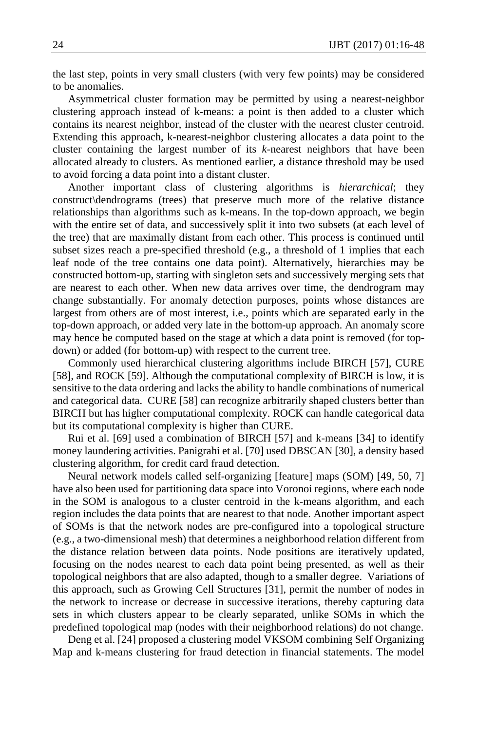the last step, points in very small clusters (with very few points) may be considered to be anomalies.

Asymmetrical cluster formation may be permitted by using a nearest-neighbor clustering approach instead of k-means: a point is then added to a cluster which contains its nearest neighbor, instead of the cluster with the nearest cluster centroid. Extending this approach, k-nearest-neighbor clustering allocates a data point to the cluster containing the largest number of its *k*-nearest neighbors that have been allocated already to clusters. As mentioned earlier, a distance threshold may be used to avoid forcing a data point into a distant cluster.

Another important class of clustering algorithms is *hierarchical*; they construct\dendrograms (trees) that preserve much more of the relative distance relationships than algorithms such as k-means. In the top-down approach, we begin with the entire set of data, and successively split it into two subsets (at each level of the tree) that are maximally distant from each other. This process is continued until subset sizes reach a pre-specified threshold (e.g., a threshold of 1 implies that each leaf node of the tree contains one data point). Alternatively, hierarchies may be constructed bottom-up, starting with singleton sets and successively merging sets that are nearest to each other. When new data arrives over time, the dendrogram may change substantially. For anomaly detection purposes, points whose distances are largest from others are of most interest, i.e., points which are separated early in the top-down approach, or added very late in the bottom-up approach. An anomaly score may hence be computed based on the stage at which a data point is removed (for topdown) or added (for bottom-up) with respect to the current tree.

Commonly used hierarchical clustering algorithms include BIRCH [57], CURE [58], and ROCK [59]. Although the computational complexity of BIRCH is low, it is sensitive to the data ordering and lacks the ability to handle combinations of numerical and categorical data. CURE [58] can recognize arbitrarily shaped clusters better than BIRCH but has higher computational complexity. ROCK can handle categorical data but its computational complexity is higher than CURE.

Rui et al. [69] used a combination of BIRCH [57] and k-means [34] to identify money laundering activities. Panigrahi et al. [70] used DBSCAN [30], a density based clustering algorithm, for credit card fraud detection.

Neural network models called self-organizing [feature] maps (SOM) [49, 50, 7] have also been used for partitioning data space into Voronoi regions, where each node in the SOM is analogous to a cluster centroid in the k-means algorithm, and each region includes the data points that are nearest to that node. Another important aspect of SOMs is that the network nodes are pre-configured into a topological structure (e.g., a two-dimensional mesh) that determines a neighborhood relation different from the distance relation between data points. Node positions are iteratively updated, focusing on the nodes nearest to each data point being presented, as well as their topological neighbors that are also adapted, though to a smaller degree. Variations of this approach, such as Growing Cell Structures [31], permit the number of nodes in the network to increase or decrease in successive iterations, thereby capturing data sets in which clusters appear to be clearly separated, unlike SOMs in which the predefined topological map (nodes with their neighborhood relations) do not change.

Deng et al. [24] proposed a clustering model VKSOM combining Self Organizing Map and k-means clustering for fraud detection in financial statements. The model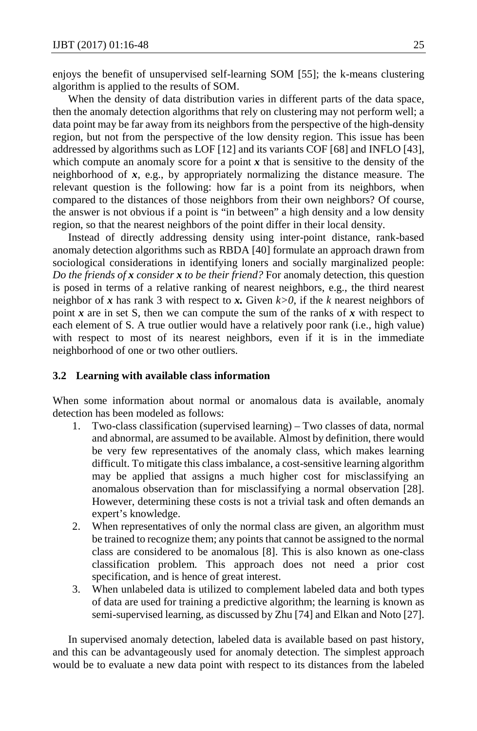enjoys the benefit of unsupervised self-learning SOM [55]; the k-means clustering algorithm is applied to the results of SOM.

When the density of data distribution varies in different parts of the data space, then the anomaly detection algorithms that rely on clustering may not perform well; a data point may be far away from its neighbors from the perspective of the high-density region, but not from the perspective of the low density region. This issue has been addressed by algorithms such as LOF [12] and its variants COF [68] and INFLO [43], which compute an anomaly score for a point x that is sensitive to the density of the neighborhood of *x*, e.g., by appropriately normalizing the distance measure. The relevant question is the following: how far is a point from its neighbors, when compared to the distances of those neighbors from their own neighbors? Of course, the answer is not obvious if a point is "in between" a high density and a low density region, so that the nearest neighbors of the point differ in their local density.

Instead of directly addressing density using inter-point distance, rank-based anomaly detection algorithms such as RBDA [40] formulate an approach drawn from sociological considerations in identifying loners and socially marginalized people: *Do the friends of x consider x to be their friend?* For anomaly detection, this question is posed in terms of a relative ranking of nearest neighbors, e.g., the third nearest neighbor of  $x$  has rank 3 with respect to  $x$ . Given  $k > 0$ , if the  $k$  nearest neighbors of point  $x$  are in set S, then we can compute the sum of the ranks of  $x$  with respect to each element of S. A true outlier would have a relatively poor rank (i.e., high value) with respect to most of its nearest neighbors, even if it is in the immediate neighborhood of one or two other outliers.

#### **3.2 Learning with available class information**

When some information about normal or anomalous data is available, anomaly detection has been modeled as follows:

- 1. Two-class classification (supervised learning) Two classes of data, normal and abnormal, are assumed to be available. Almost by definition, there would be very few representatives of the anomaly class, which makes learning difficult. To mitigate this class imbalance, a cost-sensitive learning algorithm may be applied that assigns a much higher cost for misclassifying an anomalous observation than for misclassifying a normal observation [28]. However, determining these costs is not a trivial task and often demands an expert's knowledge.
- 2. When representatives of only the normal class are given, an algorithm must be trained to recognize them; any points that cannot be assigned to the normal class are considered to be anomalous [8]. This is also known as one-class classification problem. This approach does not need a prior cost specification, and is hence of great interest.
- 3. When unlabeled data is utilized to complement labeled data and both types of data are used for training a predictive algorithm; the learning is known as semi-supervised learning, as discussed by Zhu [74] and Elkan and Noto [27].

In supervised anomaly detection, labeled data is available based on past history, and this can be advantageously used for anomaly detection. The simplest approach would be to evaluate a new data point with respect to its distances from the labeled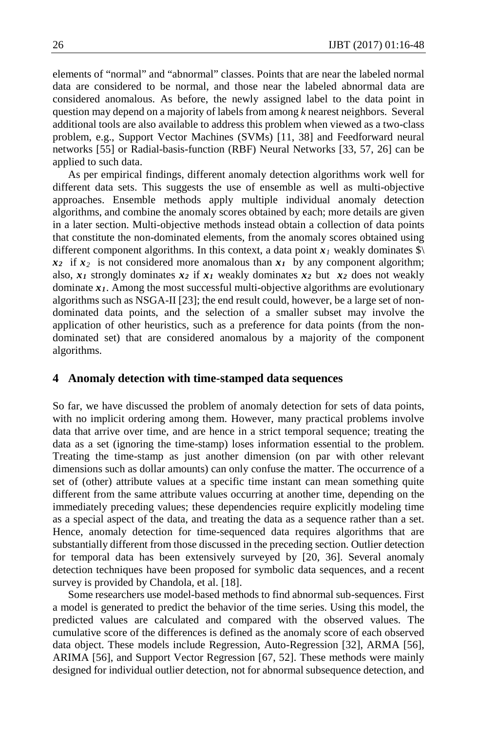elements of "normal" and "abnormal" classes. Points that are near the labeled normal data are considered to be normal, and those near the labeled abnormal data are considered anomalous. As before, the newly assigned label to the data point in question may depend on a majority of labels from among *k* nearest neighbors. Several additional tools are also available to address this problem when viewed as a two-class problem, e.g., Support Vector Machines (SVMs) [11, 38] and Feedforward neural networks [55] or Radial-basis-function (RBF) Neural Networks [33, 57, 26] can be applied to such data.

As per empirical findings, different anomaly detection algorithms work well for different data sets. This suggests the use of ensemble as well as multi-objective approaches. Ensemble methods apply multiple individual anomaly detection algorithms, and combine the anomaly scores obtained by each; more details are given in a later section. Multi-objective methods instead obtain a collection of data points that constitute the non-dominated elements, from the anomaly scores obtained using different component algorithms. In this context, a data point  $x<sub>1</sub>$  weakly dominates  $\Diamond$  $x_2$  if  $x_2$  is not considered more anomalous than  $x_1$  by any component algorithm; also,  $x_1$  strongly dominates  $x_2$  if  $x_1$  weakly dominates  $x_2$  but  $x_2$  does not weakly dominate  $x_1$ . Among the most successful multi-objective algorithms are evolutionary algorithms such as NSGA-II [23]; the end result could, however, be a large set of nondominated data points, and the selection of a smaller subset may involve the application of other heuristics, such as a preference for data points (from the nondominated set) that are considered anomalous by a majority of the component algorithms.

## **4 Anomaly detection with time-stamped data sequences**

So far, we have discussed the problem of anomaly detection for sets of data points, with no implicit ordering among them. However, many practical problems involve data that arrive over time, and are hence in a strict temporal sequence; treating the data as a set (ignoring the time-stamp) loses information essential to the problem. Treating the time-stamp as just another dimension (on par with other relevant dimensions such as dollar amounts) can only confuse the matter. The occurrence of a set of (other) attribute values at a specific time instant can mean something quite different from the same attribute values occurring at another time, depending on the immediately preceding values; these dependencies require explicitly modeling time as a special aspect of the data, and treating the data as a sequence rather than a set. Hence, anomaly detection for time-sequenced data requires algorithms that are substantially different from those discussed in the preceding section. Outlier detection for temporal data has been extensively surveyed by [20, 36]. Several anomaly detection techniques have been proposed for symbolic data sequences, and a recent survey is provided by Chandola, et al. [18].

Some researchers use model-based methods to find abnormal sub-sequences. First a model is generated to predict the behavior of the time series. Using this model, the predicted values are calculated and compared with the observed values. The cumulative score of the differences is defined as the anomaly score of each observed data object. These models include Regression, Auto-Regression [32], ARMA [56], ARIMA [56], and Support Vector Regression [67, 52]. These methods were mainly designed for individual outlier detection, not for abnormal subsequence detection, and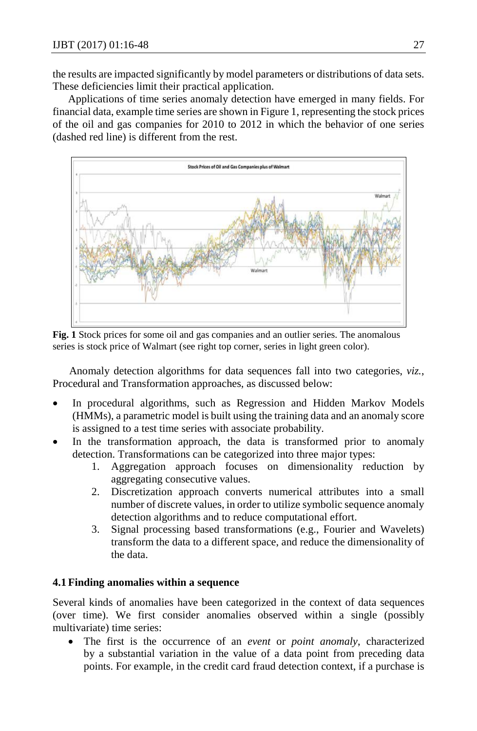the results are impacted significantly by model parameters or distributions of data sets. These deficiencies limit their practical application.

Applications of time series anomaly detection have emerged in many fields. For financial data, example time series are shown in Figure 1, representing the stock prices of the oil and gas companies for 2010 to 2012 in which the behavior of one series (dashed red line) is different from the rest.



**Fig. 1** Stock prices for some oil and gas companies and an outlier series. The anomalous series is stock price of Walmart (see right top corner, series in light green color).

 Anomaly detection algorithms for data sequences fall into two categories, *viz.*, Procedural and Transformation approaches, as discussed below:

- In procedural algorithms, such as Regression and Hidden Markov Models (HMMs), a parametric model is built using the training data and an anomaly score is assigned to a test time series with associate probability.
- In the transformation approach, the data is transformed prior to anomaly detection. Transformations can be categorized into three major types:
	- 1. Aggregation approach focuses on dimensionality reduction by aggregating consecutive values.
	- 2. Discretization approach converts numerical attributes into a small number of discrete values, in order to utilize symbolic sequence anomaly detection algorithms and to reduce computational effort.
	- 3. Signal processing based transformations (e.g., Fourier and Wavelets) transform the data to a different space, and reduce the dimensionality of the data.

## **4.1 Finding anomalies within a sequence**

Several kinds of anomalies have been categorized in the context of data sequences (over time). We first consider anomalies observed within a single (possibly multivariate) time series:

• The first is the occurrence of an *event* or *point anomaly*, characterized by a substantial variation in the value of a data point from preceding data points. For example, in the credit card fraud detection context, if a purchase is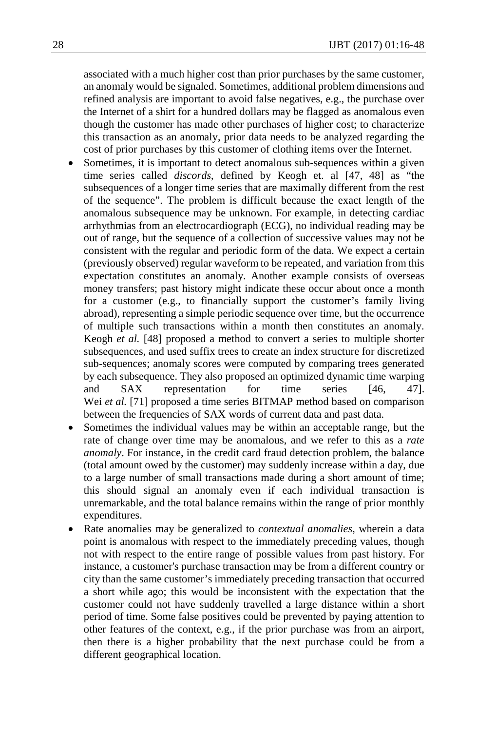associated with a much higher cost than prior purchases by the same customer, an anomaly would be signaled. Sometimes, additional problem dimensions and refined analysis are important to avoid false negatives, e.g., the purchase over the Internet of a shirt for a hundred dollars may be flagged as anomalous even though the customer has made other purchases of higher cost; to characterize this transaction as an anomaly, prior data needs to be analyzed regarding the cost of prior purchases by this customer of clothing items over the Internet.

- Sometimes, it is important to detect anomalous sub-sequences within a given time series called *discords*, defined by Keogh et. al [47, 48] as "the subsequences of a longer time series that are maximally different from the rest of the sequence". The problem is difficult because the exact length of the anomalous subsequence may be unknown. For example, in detecting cardiac arrhythmias from an electrocardiograph (ECG), no individual reading may be out of range, but the sequence of a collection of successive values may not be consistent with the regular and periodic form of the data. We expect a certain (previously observed) regular waveform to be repeated, and variation from this expectation constitutes an anomaly. Another example consists of overseas money transfers; past history might indicate these occur about once a month for a customer (e.g., to financially support the customer's family living abroad), representing a simple periodic sequence over time, but the occurrence of multiple such transactions within a month then constitutes an anomaly. Keogh *et al.* [48] proposed a method to convert a series to multiple shorter subsequences, and used suffix trees to create an index structure for discretized sub-sequences; anomaly scores were computed by comparing trees generated by each subsequence. They also proposed an optimized dynamic time warping and SAX representation for time series [46, 47]. Wei *et al.* [71] proposed a time series BITMAP method based on comparison between the frequencies of SAX words of current data and past data.
- Sometimes the individual values may be within an acceptable range, but the rate of change over time may be anomalous, and we refer to this as a *rate anomaly*. For instance, in the credit card fraud detection problem, the balance (total amount owed by the customer) may suddenly increase within a day, due to a large number of small transactions made during a short amount of time; this should signal an anomaly even if each individual transaction is unremarkable, and the total balance remains within the range of prior monthly expenditures.
- Rate anomalies may be generalized to *contextual anomalies*, wherein a data point is anomalous with respect to the immediately preceding values, though not with respect to the entire range of possible values from past history. For instance, a customer's purchase transaction may be from a different country or city than the same customer's immediately preceding transaction that occurred a short while ago; this would be inconsistent with the expectation that the customer could not have suddenly travelled a large distance within a short period of time. Some false positives could be prevented by paying attention to other features of the context, e.g., if the prior purchase was from an airport, then there is a higher probability that the next purchase could be from a different geographical location.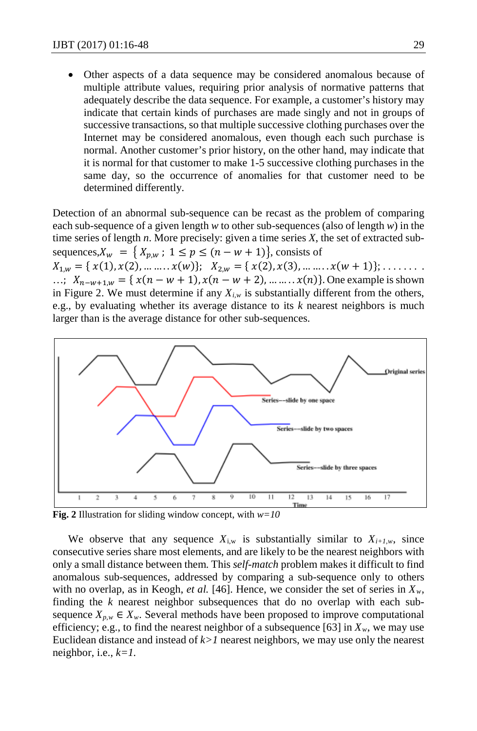Other aspects of a data sequence may be considered anomalous because of multiple attribute values, requiring prior analysis of normative patterns that adequately describe the data sequence. For example, a customer's history may indicate that certain kinds of purchases are made singly and not in groups of successive transactions, so that multiple successive clothing purchases over the Internet may be considered anomalous, even though each such purchase is normal. Another customer's prior history, on the other hand, may indicate that it is normal for that customer to make 1-5 successive clothing purchases in the same day, so the occurrence of anomalies for that customer need to be determined differently.

Detection of an abnormal sub-sequence can be recast as the problem of comparing each sub-sequence of a given length *w* to other sub-sequences (also of length *w*) in the time series of length *n*. More precisely: given a time series *X*, the set of extracted subsequences,  $X_w = \{X_{p,w} : 1 \le p \le (n - w + 1)\}\)$ , consists of

 $X_{1,w} = \{x(1), x(2), \dots, x(w)\};$   $X_{2,w} = \{x(2), x(3), \dots, x(w+1)\}; \dots \dots$ ...;  $X_{n-w+1,w} = \{ x(n-w+1), x(n-w+2), \dots, x(n) \}.$  One example is shown in Figure 2. We must determine if any  $X_{i,w}$  is substantially different from the others, e.g., by evaluating whether its average distance to its *k* nearest neighbors is much larger than is the average distance for other sub-sequences.



**Fig. 2** Illustration for sliding window concept, with *w=10* 

We observe that any sequence  $X_{i,w}$  is substantially similar to  $X_{i+1,w}$ , since consecutive series share most elements, and are likely to be the nearest neighbors with only a small distance between them. This *self-match* problem makes it difficult to find anomalous sub-sequences, addressed by comparing a sub-sequence only to others with no overlap, as in Keogh, *et al.* [46]. Hence, we consider the set of series in  $X_w$ , finding the *k* nearest neighbor subsequences that do no overlap with each subsequence  $X_{p,w} \in X_w$ . Several methods have been proposed to improve computational efficiency; e.g., to find the nearest neighbor of a subsequence [63] in  $X_w$ , we may use Euclidean distance and instead of  $k > 1$  nearest neighbors, we may use only the nearest neighbor, i.e., *k=1.*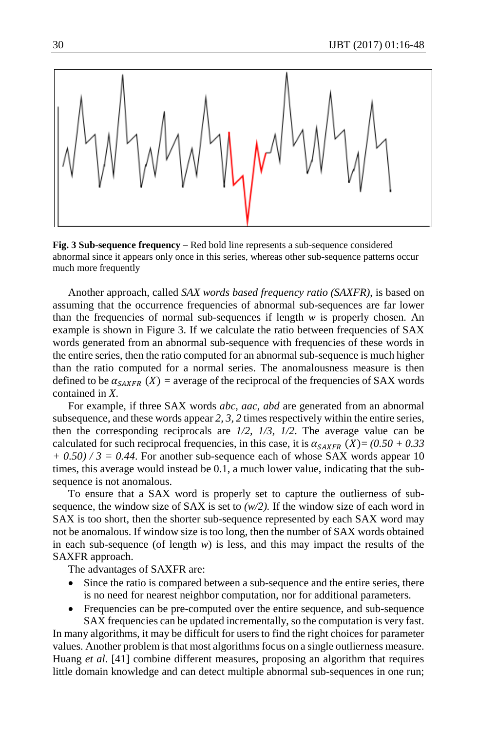

**Fig. 3 Sub-sequence frequency –** Red bold line represents a sub-sequence considered abnormal since it appears only once in this series, whereas other sub-sequence patterns occur much more frequently

Another approach, called *SAX words based frequency ratio (SAXFR)*, is based on assuming that the occurrence frequencies of abnormal sub-sequences are far lower than the frequencies of normal sub-sequences if length  $w$  is properly chosen. An example is shown in Figure 3. If we calculate the ratio between frequencies of SAX words generated from an abnormal sub-sequence with frequencies of these words in the entire series, then the ratio computed for an abnormal sub-sequence is much higher than the ratio computed for a normal series. The anomalousness measure is then defined to be  $\alpha_{SAKFR}$  (X) = average of the reciprocal of the frequencies of SAX words contained in *X*.

For example, if three SAX words *abc, aac, abd* are generated from an abnormal subsequence, and these words appear *2, 3, 2* times respectively within the entire series, then the corresponding reciprocals are *1/2, 1/3, 1/2*. The average value can be calculated for such reciprocal frequencies, in this case, it is  $\alpha_{SAXFR}$  (X)=  $(0.50 + 0.33)$  $+ 0.50$  / 3 = 0.44. For another sub-sequence each of whose SAX words appear 10 times, this average would instead be 0.1, a much lower value, indicating that the subsequence is not anomalous.

To ensure that a SAX word is properly set to capture the outlierness of subsequence, the window size of SAX is set to  $(w/2)$ . If the window size of each word in SAX is too short, then the shorter sub-sequence represented by each SAX word may not be anomalous. If window size is too long, then the number of SAX words obtained in each sub-sequence (of length  $w$ ) is less, and this may impact the results of the SAXFR approach.

The advantages of SAXFR are:

- Since the ratio is compared between a sub-sequence and the entire series, there is no need for nearest neighbor computation, nor for additional parameters.
- Frequencies can be pre-computed over the entire sequence, and sub-sequence SAX frequencies can be updated incrementally, so the computation is very fast.

In many algorithms, it may be difficult for users to find the right choices for parameter values. Another problem is that most algorithms focus on a single outlierness measure. Huang *et al*. [41] combine different measures, proposing an algorithm that requires little domain knowledge and can detect multiple abnormal sub-sequences in one run;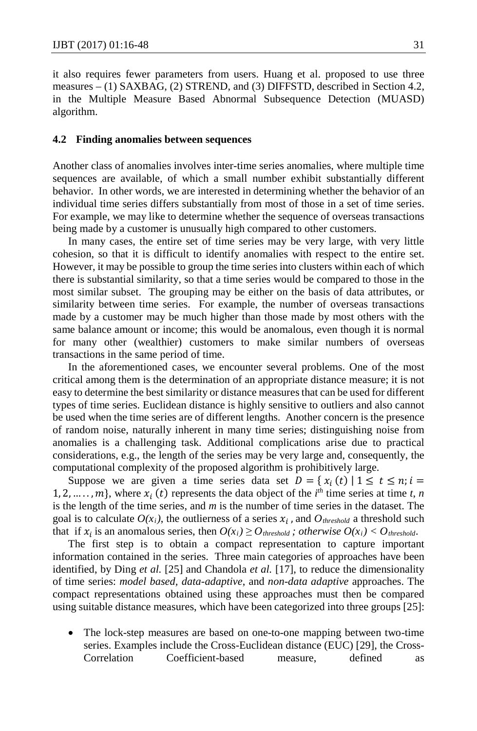it also requires fewer parameters from users. Huang et al. proposed to use three measures – (1) SAXBAG, (2) STREND, and (3) DIFFSTD, described in Section 4.2, in the Multiple Measure Based Abnormal Subsequence Detection (MUASD) algorithm.

#### **4.2 Finding anomalies between sequences**

Another class of anomalies involves inter-time series anomalies, where multiple time sequences are available, of which a small number exhibit substantially different behavior. In other words, we are interested in determining whether the behavior of an individual time series differs substantially from most of those in a set of time series. For example, we may like to determine whether the sequence of overseas transactions being made by a customer is unusually high compared to other customers.

In many cases, the entire set of time series may be very large, with very little cohesion, so that it is difficult to identify anomalies with respect to the entire set. However, it may be possible to group the time series into clusters within each of which there is substantial similarity, so that a time series would be compared to those in the most similar subset. The grouping may be either on the basis of data attributes, or similarity between time series. For example, the number of overseas transactions made by a customer may be much higher than those made by most others with the same balance amount or income; this would be anomalous, even though it is normal for many other (wealthier) customers to make similar numbers of overseas transactions in the same period of time.

In the aforementioned cases, we encounter several problems. One of the most critical among them is the determination of an appropriate distance measure; it is not easy to determine the best similarity or distance measures that can be used for different types of time series. Euclidean distance is highly sensitive to outliers and also cannot be used when the time series are of different lengths. Another concern is the presence of random noise, naturally inherent in many time series; distinguishing noise from anomalies is a challenging task. Additional complications arise due to practical considerations, e.g., the length of the series may be very large and, consequently, the computational complexity of the proposed algorithm is prohibitively large.

Suppose we are given a time series data set  $D = \{x_i(t) | 1 \le t \le n; i =$ 1, 2, ...., *m*}, where  $x_i(t)$  represents the data object of the *i*<sup>th</sup> time series at time *t*, *n* is the length of the time series, and *m* is the number of time series in the dataset. The goal is to calculate  $O(x_i)$ , the outlierness of a series  $x_i$ , and  $O_{threshold}$  a threshold such that if  $x_i$  is an anomalous series, then  $O(x_i) \geq O$  *threshold*; *otherwise*  $O(x_i) < O$  *threshold*.

The first step is to obtain a compact representation to capture important information contained in the series. Three main categories of approaches have been identified, by Ding *et al.* [25] and Chandola *et al.* [17], to reduce the dimensionality of time series: *model based, data-adaptive*, and *non-data adaptive* approaches. The compact representations obtained using these approaches must then be compared using suitable distance measures, which have been categorized into three groups [25]:

The lock-step measures are based on one-to-one mapping between two-time series. Examples include the Cross-Euclidean distance (EUC) [29], the Cross-Correlation Coefficient-based measure, defined as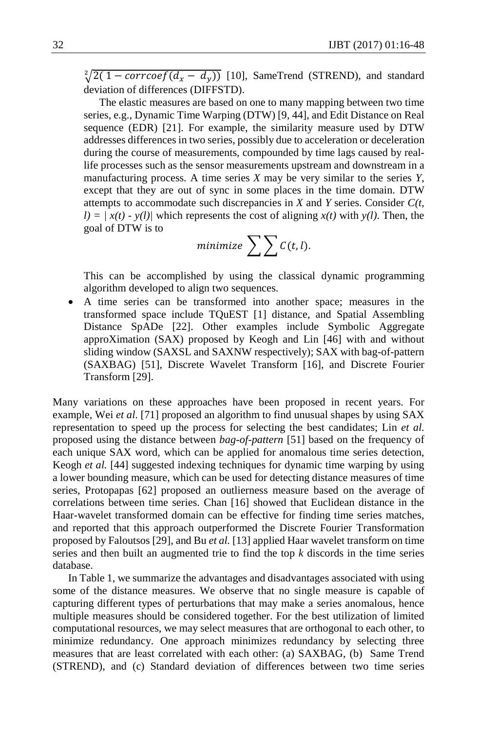$\sqrt[2]{2(1 - \text{correct}(d_x - d_y))}$  [10], SameTrend (STREND), and standard deviation of differences (DIFFSTD).

The elastic measures are based on one to many mapping between two time series, e.g., Dynamic Time Warping (DTW) [9, 44], and Edit Distance on Real sequence (EDR) [21]. For example, the similarity measure used by DTW addresses differences in two series, possibly due to acceleration or deceleration during the course of measurements, compounded by time lags caused by reallife processes such as the sensor measurements upstream and downstream in a manufacturing process. A time series *X* may be very similar to the series *Y*, except that they are out of sync in some places in the time domain. DTW attempts to accommodate such discrepancies in *X* and *Y* series. Consider *C(t,*   $l = \frac{x(t) - y(l)}{\text{which represents the cost of aligning } x(t) \text{ with } y(l)$ . Then, the goal of DTW is to

$$
minimize \sum \sum C(t, l).
$$

 This can be accomplished by using the classical dynamic programming algorithm developed to align two sequences.

• A time series can be transformed into another space; measures in the transformed space include TQuEST [1] distance, and Spatial Assembling Distance SpADe [22]. Other examples include Symbolic Aggregate approXimation (SAX) proposed by Keogh and Lin [46] with and without sliding window (SAXSL and SAXNW respectively); SAX with bag-of-pattern (SAXBAG) [51], Discrete Wavelet Transform [16], and Discrete Fourier Transform [29].

Many variations on these approaches have been proposed in recent years. For example, Wei *et al*. [71] proposed an algorithm to find unusual shapes by using SAX representation to speed up the process for selecting the best candidates; Lin *et al.* proposed using the distance between *bag-of-pattern* [51] based on the frequency of each unique SAX word, which can be applied for anomalous time series detection, Keogh *et al.* [44] suggested indexing techniques for dynamic time warping by using a lower bounding measure, which can be used for detecting distance measures of time series, Protopapas [62] proposed an outlierness measure based on the average of correlations between time series. Chan [16] showed that Euclidean distance in the Haar-wavelet transformed domain can be effective for finding time series matches, and reported that this approach outperformed the Discrete Fourier Transformation proposed by Faloutsos [29], and Bu *et al.* [13] applied Haar wavelet transform on time series and then built an augmented trie to find the top *k* discords in the time series database.

In Table 1, we summarize the advantages and disadvantages associated with using some of the distance measures. We observe that no single measure is capable of capturing different types of perturbations that may make a series anomalous, hence multiple measures should be considered together. For the best utilization of limited computational resources, we may select measures that are orthogonal to each other, to minimize redundancy. One approach minimizes redundancy by selecting three measures that are least correlated with each other: (a) SAXBAG, (b) Same Trend (STREND), and (c) Standard deviation of differences between two time series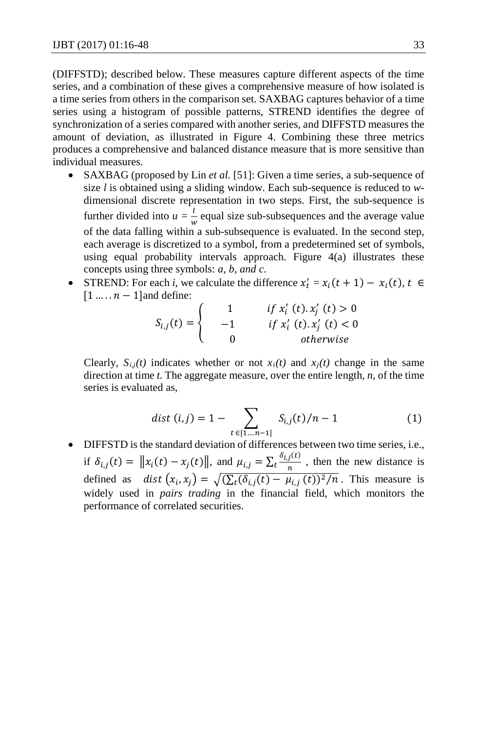(DIFFSTD); described below. These measures capture different aspects of the time series, and a combination of these gives a comprehensive measure of how isolated is a time series from others in the comparison set. SAXBAG captures behavior of a time series using a histogram of possible patterns, STREND identifies the degree of synchronization of a series compared with another series, and DIFFSTD measures the amount of deviation, as illustrated in Figure 4. Combining these three metrics produces a comprehensive and balanced distance measure that is more sensitive than individual measures.

- SAXBAG (proposed by Lin *et al.* [51]: Given a time series, a sub-sequence of size *l* is obtained using a sliding window. Each sub-sequence is reduced to *w*dimensional discrete representation in two steps. First, the sub-sequence is further divided into  $u = \frac{l}{w}$  equal size sub-subsequences and the average value of the data falling within a sub-subsequence is evaluated. In the second step, each average is discretized to a symbol, from a predetermined set of symbols, using equal probability intervals approach. Figure 4(a) illustrates these concepts using three symbols: *a, b, and c*.
- STREND: For each *i*, we calculate the difference  $x'_t = x_i(t+1) x_i(t)$ ,  $t \in$  $[1 \dots n - 1]$  and define:

$$
S_{i,j}(t) = \begin{cases} 1 & \text{if } x'_i \text{ (}t\text{). } x'_j \text{ (}t\text{)} > 0 \\ -1 & \text{if } x'_i \text{ (}t\text{). } x'_j \text{ (}t\text{)} < 0 \\ 0 & \text{otherwise} \end{cases}
$$

Clearly,  $S_{i,j}(t)$  indicates whether or not  $x_i(t)$  and  $x_j(t)$  change in the same direction at time *t*. The aggregate measure, over the entire length, *n*, of the time series is evaluated as,

$$
dist (i,j) = 1 - \sum_{t \in [1...n-1]} S_{i,j}(t)/n - 1
$$
 (1)

• DIFFSTD is the standard deviation of differences between two time series, i.e., if  $\delta_{i,j}(t) = ||x_i(t) - x_j(t)||$ , and  $\mu_{i,j} = \sum_t \frac{\delta_{i,j}(t)}{n}$ , then the new distance is defined as  $dist(x_i, x_j) = \sqrt{\left(\sum_t (\delta_{i,j}(t) - \mu_{i,j}(t))^2/n\right)}$ . This measure is widely used in *pairs trading* in the financial field, which monitors the performance of correlated securities.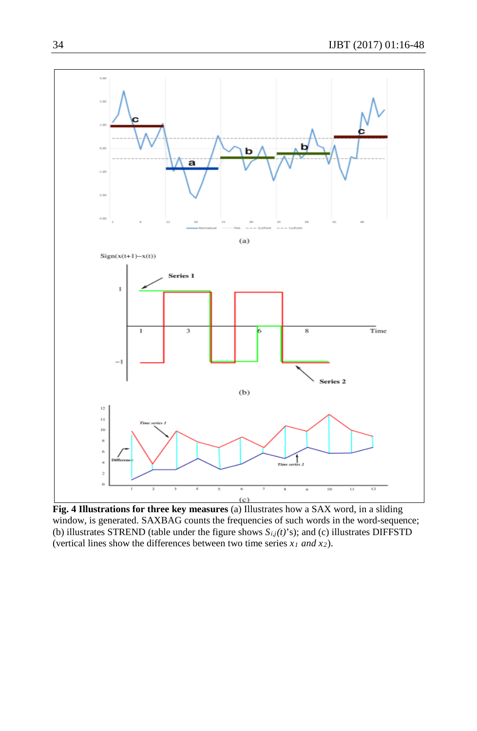

**Fig. 4 Illustrations for three key measures** (a) Illustrates how a SAX word, in a sliding window, is generated. SAXBAG counts the frequencies of such words in the word-sequence; (b) illustrates STREND (table under the figure shows *Si,j(t)*'s); and (c) illustrates DIFFSTD (vertical lines show the differences between two time series *x1 and x2*).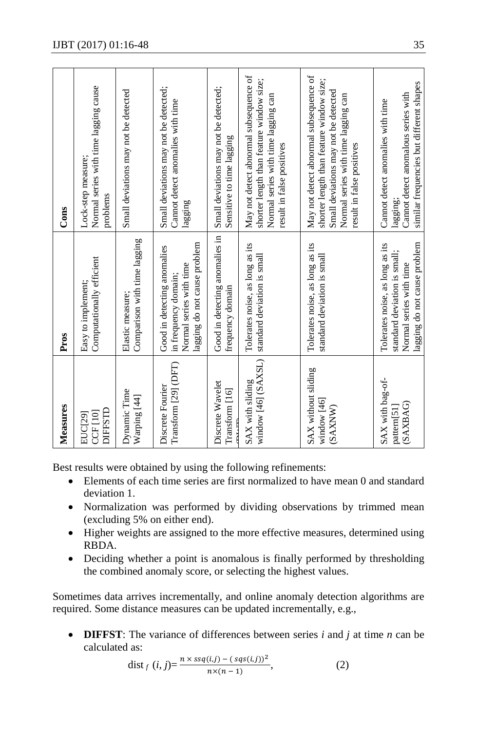| Measures                                             | Pros                                                                                                                       | Cons                                                                                                                                                                                           |
|------------------------------------------------------|----------------------------------------------------------------------------------------------------------------------------|------------------------------------------------------------------------------------------------------------------------------------------------------------------------------------------------|
| DIFFSTD<br>$CCF$ [10]<br>EUC[29]                     | Computationally efficient<br>Easy to implement;                                                                            | Normal series with time lagging cause<br>Lock-step measure;<br>problems                                                                                                                        |
| Dynamic Time<br>Warping [44]                         | Comparison with time lagging<br>Elastic measure;                                                                           | Small deviations may not be detected                                                                                                                                                           |
| Transform [29] (DFT)<br>Discrete Fourier             | lagging do not cause problem<br>Good in detecting anomalies<br>Normal series with time<br>in frequency domain;             | Small deviations may not be detected;<br>Cannot detect anomalies with time<br>lagging                                                                                                          |
| Discrete Wavelet<br>Transform [16]<br>T <sub>1</sub> | Good in detecting anomalies in<br>frequency domain                                                                         | Small deviations may not be detected;<br>Sensitive to time lagging                                                                                                                             |
| window [46] (SAXSL)<br>SAX with sliding              | Tolerates noise, as long as its<br>standard deviation is small                                                             | May not detect abnormal subsequence of<br>shorter length than feature window size;<br>Normal series with time lagging can<br>result in false positives                                         |
| SAX without sliding<br>window [46]<br>(SAXNW)        | Tolerates noise, as long as its<br>standard deviation is small                                                             | May not detect abnormal subsequence of<br>shorter length than feature window size;<br>Small deviations may not be detected<br>Normal series with time lagging can<br>result in false positives |
| SAX with bag-of-<br>(SAXBAG)<br>pattern[51]          | lagging do not cause problem<br>Tolerates noise, as long as its<br>standard deviation is small;<br>Normal series with time | similar frequencies but different shapes<br>Cannot detect anomalous series with<br>Cannot detect anomalies with time<br>lagging;                                                               |

Best results were obtained by using the following refinements:

- Elements of each time series are first normalized to have mean 0 and standard deviation 1.
- Normalization was performed by dividing observations by trimmed mean (excluding 5% on either end).
- Higher weights are assigned to the more effective measures, determined using RBDA.
- Deciding whether a point is anomalous is finally performed by thresholding the combined anomaly score, or selecting the highest values.

Sometimes data arrives incrementally, and online anomaly detection algorithms are required. Some distance measures can be updated incrementally, e.g.,

• **DIFFST**: The variance of differences between series *i* and *j* at time *n* can be calculated as:

dist <sub>f</sub> 
$$
(i, j) = \frac{n \times ssq(i,j) - (sqs(i,j))^2}{n \times (n-1)}
$$
, (2)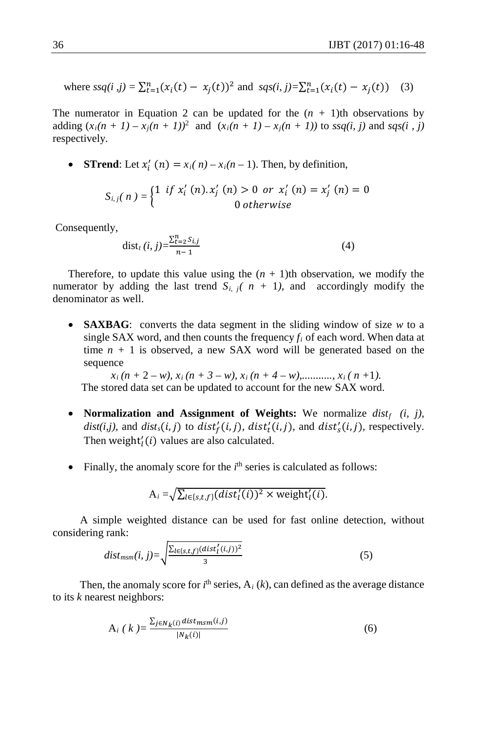where 
$$
ssq(i, j) = \sum_{t=1}^{n} (x_i(t) - x_j(t))^2
$$
 and  $sgs(i, j) = \sum_{t=1}^{n} (x_i(t) - x_j(t))$  (3)

The numerator in Equation 2 can be updated for the  $(n + 1)$ th observations by adding  $(x_i(n + 1) - x_j(n + 1))^2$  and  $(x_i(n + 1) - x_j(n + 1))$  to  $ssq(i, j)$  and  $sgs(i, j)$ respectively.

• **STrend**: Let  $x'_i$   $(n) = x_i(n) - x_i(n-1)$ . Then, by definition,

$$
S_{i,j}(n) = \begin{cases} 1 & \text{if } x'_i(n) \cdot x'_j(n) > 0 \text{ or } x'_i(n) = x'_j(n) = 0 \\ 0 & \text{otherwise} \end{cases}
$$

Consequently,

$$
dist_t(i, j) = \frac{\sum_{t=2}^{n} S_{i,j}}{n-1}
$$
 (4)

Therefore, to update this value using the  $(n + 1)$ th observation, we modify the numerator by adding the last trend  $S_i$ ,  $j(n + 1)$ , and accordingly modify the denominator as well.

• **SAXBAG**: converts the data segment in the sliding window of size *w* to a single SAX word, and then counts the frequency  $f_i$  of each word. When data at time  $n + 1$  is observed, a new SAX word will be generated based on the sequence

 $x_i(n+2-w)$ ,  $x_i(n+3-w)$ ,  $x_i(n+4-w)$ ,..........,  $x_i(n+1)$ . The stored data set can be updated to account for the new SAX word.

- **Normalization and Assignment of Weights:** We normalize *distf (i, j),*  $dist(i,j)$ , and  $dist_s(i,j)$  to  $dist'_f(i,j)$ ,  $dist'_t(i,j)$ , and  $dist'_s(i,j)$ , respectively. Then weight $'_{l}(i)$  values are also calculated.
- $\bullet$  Finally, the anomaly score for the  $i<sup>th</sup>$  series is calculated as follows:

$$
A_i = \sqrt{\sum_{l \in \{s,t,f\}} (dist'_l(i))^2 \times \text{weight}'_l(i)}.
$$

 A simple weighted distance can be used for fast online detection, without considering rank:

$$
dist_{msm}(i, j) = \sqrt{\frac{\sum_{l \in \{s, t, f\}} (dist_l'(i,j))^2}{3}} \tag{5}
$$

Then, the anomaly score for  $i<sup>th</sup>$  series,  $A_i$  ( $k$ ), can defined as the average distance to its *k* nearest neighbors:

$$
A_i (k) = \frac{\sum_{j \in N_k(i)} distr_{msm}(i,j)}{|N_k(i)|}
$$
(6)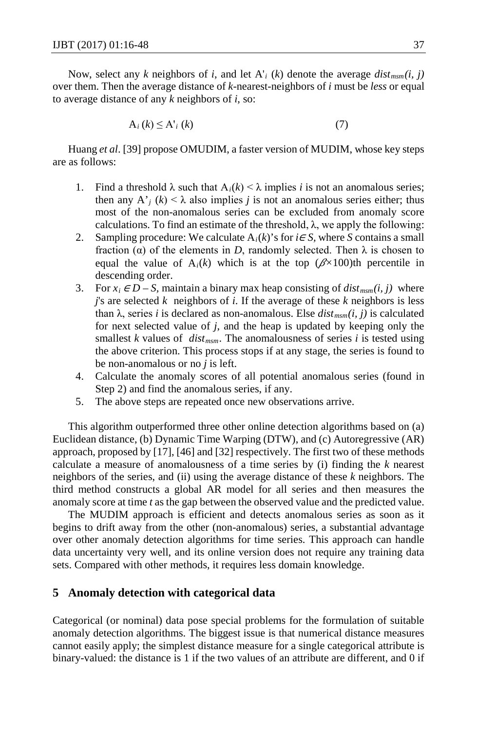Now, select any *k* neighbors of *i*, and let  $A'$ <sup>*i*</sup> (*k*) denote the average  $dist_{msm}(i, j)$ over them. Then the average distance of *k*-nearest-neighbors of *i* must be *less* or equal to average distance of any *k* neighbors of *i*, so:

$$
A_i(k) \le A_i(k) \tag{7}
$$

Huang *et al*. [39] propose OMUDIM, a faster version of MUDIM, whose key steps are as follows:

- 1. Find a threshold  $\lambda$  such that  $A_i(k) < \lambda$  implies *i* is not an anomalous series; then any A'<sub>j</sub> (k) <  $\lambda$  also implies *j* is not an anomalous series either; thus most of the non-anomalous series can be excluded from anomaly score calculations. To find an estimate of the threshold,  $\lambda$ , we apply the following:
- 2. Sampling procedure: We calculate  $A_i(k)$ 's for  $i \in S$ , where *S* contains a small fraction ( $\alpha$ ) of the elements in *D*, randomly selected. Then  $\lambda$  is chosen to equal the value of  $A_i(k)$  which is at the top  $(\beta \times 100)$ th percentile in descending order.
- 3. For  $x_i \in D S$ , maintain a binary max heap consisting of  $dist_{msm}(i, j)$  where *j*'s are selected *k* neighbors of *i*. If the average of these *k* neighbors is less than  $\lambda$ , series *i* is declared as non-anomalous. Else  $dist_{msm}(i, j)$  is calculated for next selected value of *j*, and the heap is updated by keeping only the smallest *k* values of  $dist_{msm}$ . The anomalousness of series *i* is tested using the above criterion. This process stops if at any stage, the series is found to be non-anomalous or no *j* is left.
- 4. Calculate the anomaly scores of all potential anomalous series (found in Step 2) and find the anomalous series, if any.
- 5. The above steps are repeated once new observations arrive.

This algorithm outperformed three other online detection algorithms based on (a) Euclidean distance, (b) Dynamic Time Warping (DTW), and (c) Autoregressive (AR) approach, proposed by [17], [46] and [32] respectively. The first two of these methods calculate a measure of anomalousness of a time series by (i) finding the *k* nearest neighbors of the series, and (ii) using the average distance of these *k* neighbors. The third method constructs a global AR model for all series and then measures the anomaly score at time *t* as the gap between the observed value and the predicted value.

The MUDIM approach is efficient and detects anomalous series as soon as it begins to drift away from the other (non-anomalous) series, a substantial advantage over other anomaly detection algorithms for time series. This approach can handle data uncertainty very well, and its online version does not require any training data sets. Compared with other methods, it requires less domain knowledge.

## **5 Anomaly detection with categorical data**

Categorical (or nominal) data pose special problems for the formulation of suitable anomaly detection algorithms. The biggest issue is that numerical distance measures cannot easily apply; the simplest distance measure for a single categorical attribute is binary-valued: the distance is 1 if the two values of an attribute are different, and 0 if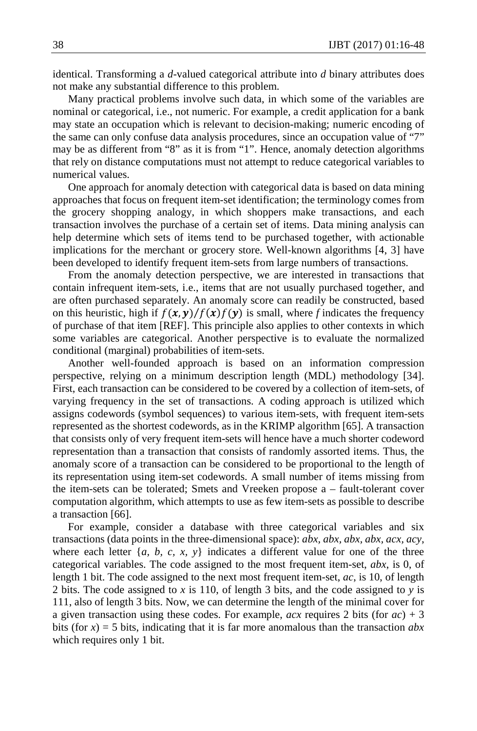identical. Transforming a *d*-valued categorical attribute into *d* binary attributes does not make any substantial difference to this problem.

Many practical problems involve such data, in which some of the variables are nominal or categorical, i.e., not numeric. For example, a credit application for a bank may state an occupation which is relevant to decision-making; numeric encoding of the same can only confuse data analysis procedures, since an occupation value of "7" may be as different from "8" as it is from "1". Hence, anomaly detection algorithms that rely on distance computations must not attempt to reduce categorical variables to numerical values.

One approach for anomaly detection with categorical data is based on data mining approaches that focus on frequent item-set identification; the terminology comes from the grocery shopping analogy, in which shoppers make transactions, and each transaction involves the purchase of a certain set of items. Data mining analysis can help determine which sets of items tend to be purchased together, with actionable implications for the merchant or grocery store. Well-known algorithms [4, 3] have been developed to identify frequent item-sets from large numbers of transactions.

From the anomaly detection perspective, we are interested in transactions that contain infrequent item-sets, i.e., items that are not usually purchased together, and are often purchased separately. An anomaly score can readily be constructed, based on this heuristic, high if  $f(x, y) / f(x) f(y)$  is small, where *f* indicates the frequency of purchase of that item [REF]. This principle also applies to other contexts in which some variables are categorical. Another perspective is to evaluate the normalized conditional (marginal) probabilities of item-sets.

Another well-founded approach is based on an information compression perspective, relying on a minimum description length (MDL) methodology [34]. First, each transaction can be considered to be covered by a collection of item-sets, of varying frequency in the set of transactions. A coding approach is utilized which assigns codewords (symbol sequences) to various item-sets, with frequent item-sets represented as the shortest codewords, as in the KRIMP algorithm [65]. A transaction that consists only of very frequent item-sets will hence have a much shorter codeword representation than a transaction that consists of randomly assorted items. Thus, the anomaly score of a transaction can be considered to be proportional to the length of its representation using item-set codewords. A small number of items missing from the item-sets can be tolerated; Smets and Vreeken propose a – fault-tolerant cover computation algorithm, which attempts to use as few item-sets as possible to describe a transaction [66].

For example, consider a database with three categorical variables and six transactions (data points in the three-dimensional space): *abx, abx, abx, abx, acx, acy*, where each letter  $\{a, b, c, x, y\}$  indicates a different value for one of the three categorical variables. The code assigned to the most frequent item-set, *abx*, is 0, of length 1 bit. The code assigned to the next most frequent item-set, *ac*, is 10, of length 2 bits. The code assigned to *x* is 110, of length 3 bits, and the code assigned to *y* is 111, also of length 3 bits. Now, we can determine the length of the minimal cover for a given transaction using these codes. For example,  $acx$  requires 2 bits (for  $ac$ ) + 3 bits (for  $x$ ) = 5 bits, indicating that it is far more anomalous than the transaction  $abx$ which requires only 1 bit.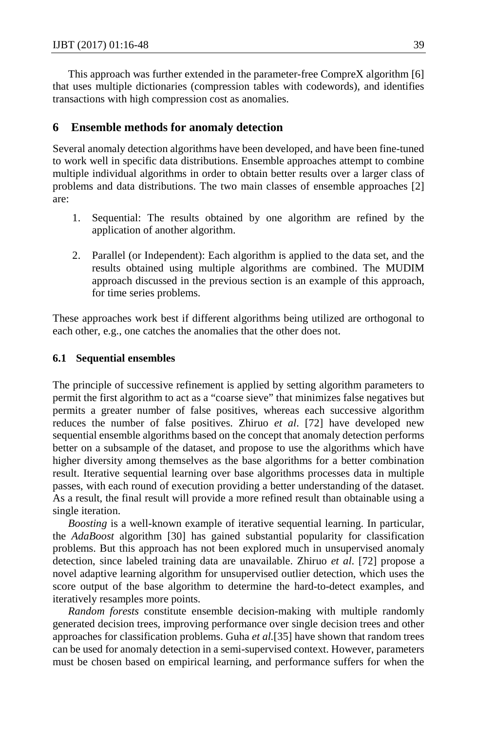This approach was further extended in the parameter-free CompreX algorithm [6] that uses multiple dictionaries (compression tables with codewords), and identifies transactions with high compression cost as anomalies.

## **6 Ensemble methods for anomaly detection**

Several anomaly detection algorithms have been developed, and have been fine-tuned to work well in specific data distributions. Ensemble approaches attempt to combine multiple individual algorithms in order to obtain better results over a larger class of problems and data distributions. The two main classes of ensemble approaches [2] are:

- 1. Sequential: The results obtained by one algorithm are refined by the application of another algorithm.
- 2. Parallel (or Independent): Each algorithm is applied to the data set, and the results obtained using multiple algorithms are combined. The MUDIM approach discussed in the previous section is an example of this approach, for time series problems.

These approaches work best if different algorithms being utilized are orthogonal to each other, e.g., one catches the anomalies that the other does not.

#### **6.1 Sequential ensembles**

The principle of successive refinement is applied by setting algorithm parameters to permit the first algorithm to act as a "coarse sieve" that minimizes false negatives but permits a greater number of false positives, whereas each successive algorithm reduces the number of false positives. Zhiruo *et al*. [72] have developed new sequential ensemble algorithms based on the concept that anomaly detection performs better on a subsample of the dataset, and propose to use the algorithms which have higher diversity among themselves as the base algorithms for a better combination result. Iterative sequential learning over base algorithms processes data in multiple passes, with each round of execution providing a better understanding of the dataset. As a result, the final result will provide a more refined result than obtainable using a single iteration.

*Boosting* is a well-known example of iterative sequential learning. In particular, the *AdaBoost* algorithm [30] has gained substantial popularity for classification problems. But this approach has not been explored much in unsupervised anomaly detection, since labeled training data are unavailable. Zhiruo *et al*. [72] propose a novel adaptive learning algorithm for unsupervised outlier detection, which uses the score output of the base algorithm to determine the hard-to-detect examples, and iteratively resamples more points.

*Random forests* constitute ensemble decision-making with multiple randomly generated decision trees, improving performance over single decision trees and other approaches for classification problems. Guha *et al.*[35] have shown that random trees can be used for anomaly detection in a semi-supervised context. However, parameters must be chosen based on empirical learning, and performance suffers for when the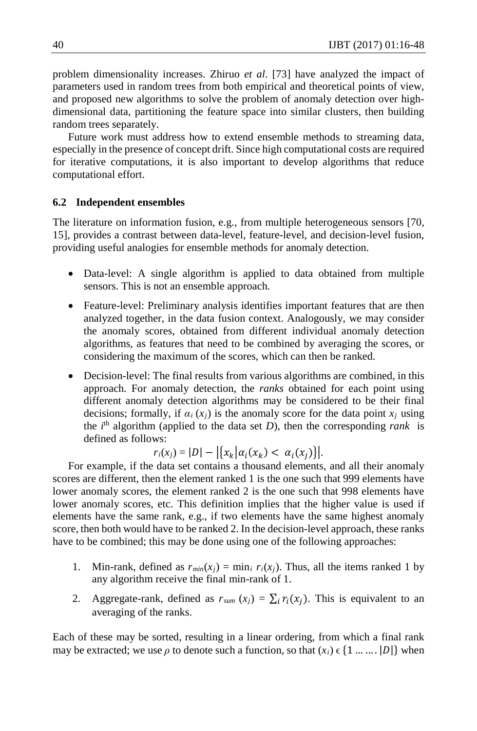problem dimensionality increases. Zhiruo *et al*. [73] have analyzed the impact of parameters used in random trees from both empirical and theoretical points of view, and proposed new algorithms to solve the problem of anomaly detection over highdimensional data, partitioning the feature space into similar clusters, then building random trees separately.

Future work must address how to extend ensemble methods to streaming data, especially in the presence of concept drift. Since high computational costs are required for iterative computations, it is also important to develop algorithms that reduce computational effort.

#### **6.2 Independent ensembles**

The literature on information fusion, e.g., from multiple heterogeneous sensors [70, 15], provides a contrast between data-level, feature-level, and decision-level fusion, providing useful analogies for ensemble methods for anomaly detection.

- Data-level: A single algorithm is applied to data obtained from multiple sensors. This is not an ensemble approach.
- Feature-level: Preliminary analysis identifies important features that are then analyzed together, in the data fusion context. Analogously, we may consider the anomaly scores, obtained from different individual anomaly detection algorithms, as features that need to be combined by averaging the scores, or considering the maximum of the scores, which can then be ranked.
- Decision-level: The final results from various algorithms are combined, in this approach. For anomaly detection, the *ranks* obtained for each point using different anomaly detection algorithms may be considered to be their final decisions; formally, if  $\alpha_i(x_i)$  is the anomaly score for the data point  $x_i$  using the  $i<sup>th</sup>$  algorithm (applied to the data set *D*), then the corresponding *rank* is defined as follows:

$$
r_i(x_j) = |D| - |\{x_k | \alpha_i(x_k) < \alpha_i(x_j)\}|.
$$

For example, if the data set contains a thousand elements, and all their anomaly scores are different, then the element ranked 1 is the one such that 999 elements have lower anomaly scores, the element ranked 2 is the one such that 998 elements have lower anomaly scores, etc. This definition implies that the higher value is used if elements have the same rank, e.g., if two elements have the same highest anomaly score, then both would have to be ranked 2. In the decision-level approach, these ranks have to be combined; this may be done using one of the following approaches:

- 1. Min-rank, defined as  $r_{min}(x_i) = \min_i r_i(x_i)$ . Thus, all the items ranked 1 by any algorithm receive the final min-rank of 1.
- 2. Aggregate-rank, defined as  $r_{sum}(x_i) = \sum_i r_i(x_i)$ . This is equivalent to an averaging of the ranks.

Each of these may be sorted, resulting in a linear ordering, from which a final rank may be extracted; we use  $\rho$  to denote such a function, so that  $(x_i) \in \{1, \ldots, |D|\}$  when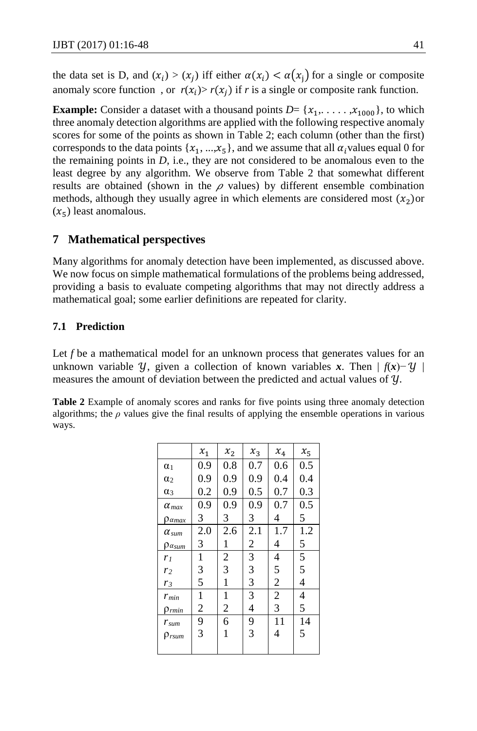the data set is D, and  $(x_i) > (x_i)$  iff either  $\alpha(x_i) < \alpha(x_i)$  for a single or composite anomaly score function, or  $r(x_i) > r(x_i)$  if *r* is a single or composite rank function.

**Example:** Consider a dataset with a thousand points  $D = \{x_1, \ldots, x_{1000}\}$ , to which three anomaly detection algorithms are applied with the following respective anomaly scores for some of the points as shown in Table 2; each column (other than the first) corresponds to the data points  $\{x_1, ..., x_5\}$ , and we assume that all  $\alpha_i$  values equal 0 for the remaining points in  $D$ , i.e., they are not considered to be anomalous even to the least degree by any algorithm. We observe from Table 2 that somewhat different results are obtained (shown in the  $\rho$  values) by different ensemble combination methods, although they usually agree in which elements are considered most  $(x_2)$  or  $(x_{5})$  least anomalous.

## **7 Mathematical perspectives**

Many algorithms for anomaly detection have been implemented, as discussed above. We now focus on simple mathematical formulations of the problems being addressed, providing a basis to evaluate competing algorithms that may not directly address a mathematical goal; some earlier definitions are repeated for clarity.

## **7.1 Prediction**

Let f be a mathematical model for an unknown process that generates values for an unknown variable  $\mathcal{Y}$ , given a collection of known variables *x*. Then  $| f(x) - \mathcal{Y} |$ measures the amount of deviation between the predicted and actual values of  $y$ .

**Table 2** Example of anomaly scores and ranks for five points using three anomaly detection algorithms; the *ρ* values give the final results of applying the ensemble operations in various ways.

|                         | $x_{\rm 1}$    | $x_{2}$        | $x_3$ | $x_4\,$        | $x_5$ |
|-------------------------|----------------|----------------|-------|----------------|-------|
| $\alpha_1$              | 0.9            | 0.8            | 0.7   | 0.6            | 0.5   |
| $\alpha_2$              | 0.9            | 0.9            | 0.9   | 0.4            | 0.4   |
| $\alpha_3$              | 0.2            | 0.9            | 0.5   | 0.7            | 0.3   |
| $\alpha_{max}$          | 0.9            | 0.9            | 0.9   | 0.7            | 0.5   |
| $\rho$ amax             | 3              | 3              | 3     | 4              | 5     |
| $\alpha$ <sub>sum</sub> | 2.0            | 2.6            | 2.1   | 1.7            | 1.2   |
| $\rho_{\alpha sum}$     | 3              | 1              | 2     | 4              | 5     |
| r <sub>1</sub>          | 1              | $\overline{c}$ | 3     | 4              | 5     |
| r <sub>2</sub>          | 3              | 3              | 3     | 5              | 5     |
| r <sub>3</sub>          | 5              | 1              | 3     | $\overline{c}$ | 4     |
| $r_{min}$               | 1              | 1              | 3     | $\overline{2}$ | 4     |
| $\rho_{rmin}$           | $\overline{c}$ | $\overline{c}$ | 4     | 3              | 5     |
| $r_{sum}$               | 9              | 6              | 9     | 11             | 14    |
| $\rho_{rsum}$           | 3              | 1              | 3     | 4              | 5     |
|                         |                |                |       |                |       |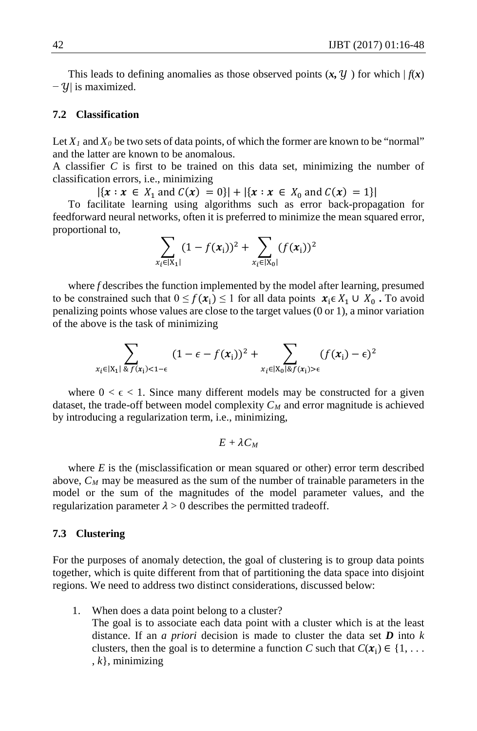This leads to defining anomalies as those observed points  $(x, y)$  for which  $|f(x)|$  $-y$ | is maximized.

## **7.2 Classification**

Let  $X_1$  and  $X_0$  be two sets of data points, of which the former are known to be "normal" and the latter are known to be anomalous.

A classifier *C* is first to be trained on this data set, minimizing the number of classification errors, i.e., minimizing

 $|\{x : x \in X_1 \text{ and } C(x) = 0\}| + |\{x : x \in X_0 \text{ and } C(x) = 1\}|$ 

To facilitate learning using algorithms such as error back-propagation for feedforward neural networks, often it is preferred to minimize the mean squared error, proportional to,

$$
\sum_{x_i \in |X_1|} (1 - f(x_i))^2 + \sum_{x_i \in |X_0|} (f(x_i))^2
$$

where *f* describes the function implemented by the model after learning, presumed to be constrained such that  $0 \le f(x_i) \le 1$  for all data points  $x_i \in X_1 \cup X_0$ . To avoid penalizing points whose values are close to the target values (0 or 1), a minor variation of the above is the task of minimizing

$$
\sum_{x_i \in |X_1| \& f(x_i) < 1 - \epsilon} (1 - \epsilon - f(x_i))^2 + \sum_{x_i \in |X_0| \& f(x_i) > \epsilon} (f(x_i) - \epsilon)^2
$$

where  $0 < \epsilon < 1$ . Since many different models may be constructed for a given dataset, the trade-off between model complexity  $C_M$  and error magnitude is achieved by introducing a regularization term, i.e., minimizing,

$$
E+\lambda C_M
$$

where *E* is the (misclassification or mean squared or other) error term described above,  $C_M$  may be measured as the sum of the number of trainable parameters in the model or the sum of the magnitudes of the model parameter values, and the regularization parameter  $\lambda > 0$  describes the permitted tradeoff.

#### **7.3 Clustering**

For the purposes of anomaly detection, the goal of clustering is to group data points together, which is quite different from that of partitioning the data space into disjoint regions. We need to address two distinct considerations, discussed below:

1. When does a data point belong to a cluster? The goal is to associate each data point with a cluster which is at the least distance. If an *a priori* decision is made to cluster the data set *D* into *k*  clusters, then the goal is to determine a function *C* such that  $C(\mathbf{x}_i) \in \{1, \dots\}$ , *k*}, minimizing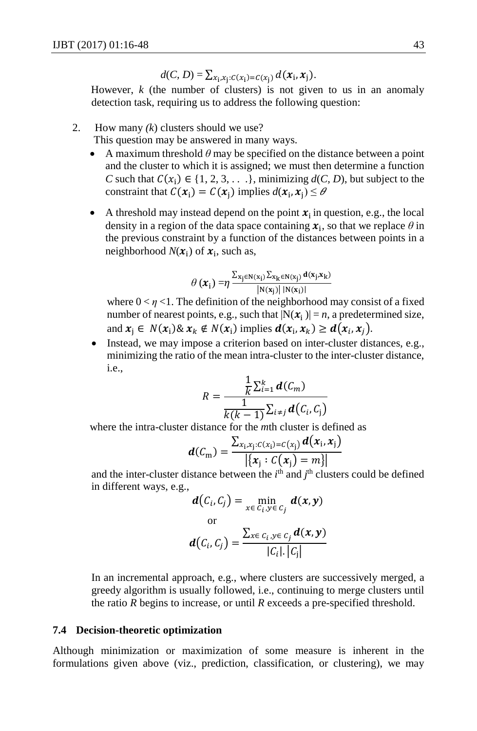$$
d(C, D) = \sum_{x_i, x_j : C(x_i) = C(x_j)} d(x_i, x_j).
$$

However,  $k$  (the number of clusters) is not given to us in an anomaly detection task, requiring us to address the following question:

2. How many *(k*) clusters should we use?

This question may be answered in many ways.

- A maximum threshold  $\theta$  may be specified on the distance between a point and the cluster to which it is assigned; we must then determine a function *C* such that  $C(x_i) \in \{1, 2, 3, \ldots\}$ , minimizing  $d(C, D)$ , but subject to the constraint that  $C(x_i) = C(x_i)$  implies  $d(x_i, x_i) \le \theta$
- A threshold may instead depend on the point  $x_i$  in question, e.g., the local density in a region of the data space containing  $x_i$ , so that we replace  $\theta$  in the previous constraint by a function of the distances between points in a neighborhood  $N(x_i)$  of  $x_i$ , such as,

$$
\theta\left(\boldsymbol{x}_{i}\right)=\!\eta\frac{\sum_{x_{j}\in N\left(x_{i}\right)}\sum_{x_{k}\in N\left(x_{j}\right)}d\left(x_{j},x_{k}\right)}{\left|N\left(x_{j}\right)\right|\left|N\left(x_{i}\right)\right|}
$$

where  $0 \lt \eta \lt 1$ . The definition of the neighborhood may consist of a fixed number of nearest points, e.g., such that  $|N(x_i)| = n$ , a predetermined size, and  $x_i \in N(x_i) \& x_k \notin N(x_i)$  implies  $d(x_i, x_k) \geq d(x_i, x_i)$ .

Instead, we may impose a criterion based on inter-cluster distances, e.g., minimizing the ratio of the mean intra-cluster to the inter-cluster distance, i.e.,

$$
R = \frac{\frac{1}{k} \sum_{i=1}^{k} \boldsymbol{d}(C_m)}{\frac{1}{k(k-1)} \sum_{i \neq j} \boldsymbol{d}(C_i, C_j)}
$$

where the intra-cluster distance for the *m*th cluster is defined as

$$
\boldsymbol{d}(\mathcal{C}_{\mathrm{m}}) = \frac{\sum_{x_i, x_j : C(x_i) = C(x_j)} \boldsymbol{d}(x_i, x_j)}{|\{x_j : C(x_j) = m\}|}
$$

and the inter-cluster distance between the  $i<sup>th</sup>$  and  $j<sup>th</sup>$  clusters could be defined in different ways, e.g.,

$$
\boldsymbol{d}(C_i, C_j) = \min_{x \in C_i, y \in C_j} \boldsymbol{d}(x, y)
$$
\nor

\n
$$
\boldsymbol{d}(C_i, C_j) = \frac{\sum_{x \in C_i, y \in C_j} \boldsymbol{d}(x, y)}{|C_i| \cdot |C_j|}
$$

In an incremental approach, e.g., where clusters are successively merged, a greedy algorithm is usually followed, i.e., continuing to merge clusters until the ratio *R* begins to increase, or until *R* exceeds a pre-specified threshold.

### **7.4 Decision-theoretic optimization**

Although minimization or maximization of some measure is inherent in the formulations given above (viz., prediction, classification, or clustering), we may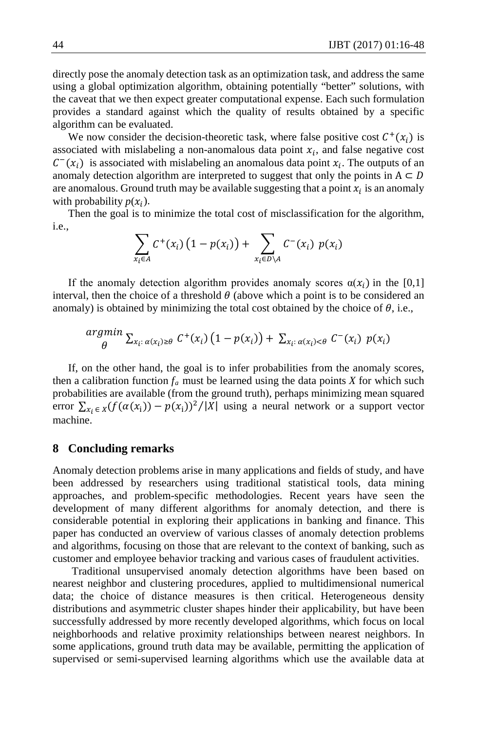directly pose the anomaly detection task as an optimization task, and address the same using a global optimization algorithm, obtaining potentially "better" solutions, with the caveat that we then expect greater computational expense. Each such formulation provides a standard against which the quality of results obtained by a specific algorithm can be evaluated.

We now consider the decision-theoretic task, where false positive cost  $C^+(x_i)$  is associated with mislabeling a non-anomalous data point  $x_i$ , and false negative cost  $C^-(x_i)$  is associated with mislabeling an anomalous data point  $x_i$ . The outputs of an anomaly detection algorithm are interpreted to suggest that only the points in  $A \subset D$ are anomalous. Ground truth may be available suggesting that a point  $x_i$  is an anomaly with probability  $p(x_i)$ .

Then the goal is to minimize the total cost of misclassification for the algorithm, i.e.,

$$
\sum_{x_i \in A} C^+(x_i) \left(1 - p(x_i)\right) + \sum_{x_i \in D \setminus A} C^-(x_i) \ p(x_i)
$$

If the anomaly detection algorithm provides anomaly scores  $\alpha(x_i)$  in the [0,1] interval, then the choice of a threshold  $\theta$  (above which a point is to be considered an anomaly) is obtained by minimizing the total cost obtained by the choice of  $\theta$ , i.e.,

$$
\underset{\theta}{argmin} \sum_{x_i: \alpha(x_i) \geq \theta} C^+(x_i) \left(1 - p(x_i)\right) + \sum_{x_i: \alpha(x_i) < \theta} C^-(x_i) \ p(x_i)
$$

If, on the other hand, the goal is to infer probabilities from the anomaly scores, then a calibration function  $f_a$  must be learned using the data points *X* for which such probabilities are available (from the ground truth), perhaps minimizing mean squared error  $\sum_{x_i \in X} (f(\alpha(x_i)) - p(x_i))^2 / |X|$  using a neural network or a support vector machine.

### **8 Concluding remarks**

Anomaly detection problems arise in many applications and fields of study, and have been addressed by researchers using traditional statistical tools, data mining approaches, and problem-specific methodologies. Recent years have seen the development of many different algorithms for anomaly detection, and there is considerable potential in exploring their applications in banking and finance. This paper has conducted an overview of various classes of anomaly detection problems and algorithms, focusing on those that are relevant to the context of banking, such as customer and employee behavior tracking and various cases of fraudulent activities.

 Traditional unsupervised anomaly detection algorithms have been based on nearest neighbor and clustering procedures, applied to multidimensional numerical data; the choice of distance measures is then critical. Heterogeneous density distributions and asymmetric cluster shapes hinder their applicability, but have been successfully addressed by more recently developed algorithms, which focus on local neighborhoods and relative proximity relationships between nearest neighbors. In some applications, ground truth data may be available, permitting the application of supervised or semi-supervised learning algorithms which use the available data at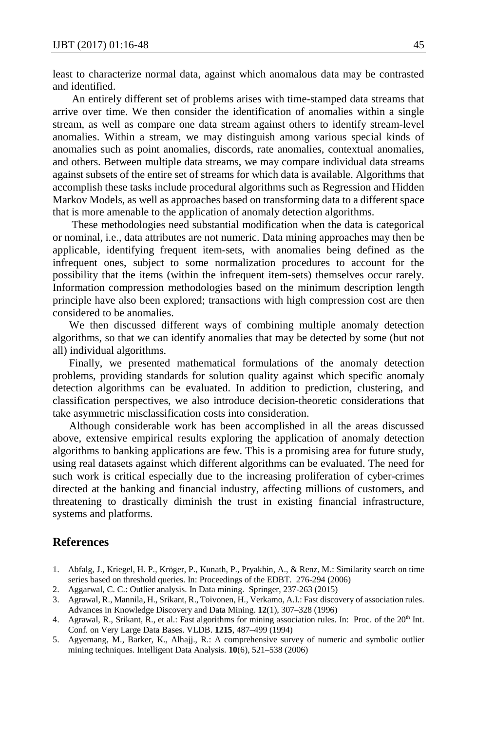least to characterize normal data, against which anomalous data may be contrasted and identified.

 An entirely different set of problems arises with time-stamped data streams that arrive over time. We then consider the identification of anomalies within a single stream, as well as compare one data stream against others to identify stream-level anomalies. Within a stream, we may distinguish among various special kinds of anomalies such as point anomalies, discords, rate anomalies, contextual anomalies, and others. Between multiple data streams, we may compare individual data streams against subsets of the entire set of streams for which data is available. Algorithms that accomplish these tasks include procedural algorithms such as Regression and Hidden Markov Models, as well as approaches based on transforming data to a different space that is more amenable to the application of anomaly detection algorithms.

 These methodologies need substantial modification when the data is categorical or nominal, i.e., data attributes are not numeric. Data mining approaches may then be applicable, identifying frequent item-sets, with anomalies being defined as the infrequent ones, subject to some normalization procedures to account for the possibility that the items (within the infrequent item-sets) themselves occur rarely. Information compression methodologies based on the minimum description length principle have also been explored; transactions with high compression cost are then considered to be anomalies.

 We then discussed different ways of combining multiple anomaly detection algorithms, so that we can identify anomalies that may be detected by some (but not all) individual algorithms.

 Finally, we presented mathematical formulations of the anomaly detection problems, providing standards for solution quality against which specific anomaly detection algorithms can be evaluated. In addition to prediction, clustering, and classification perspectives, we also introduce decision-theoretic considerations that take asymmetric misclassification costs into consideration.

 Although considerable work has been accomplished in all the areas discussed above, extensive empirical results exploring the application of anomaly detection algorithms to banking applications are few. This is a promising area for future study, using real datasets against which different algorithms can be evaluated. The need for such work is critical especially due to the increasing proliferation of cyber-crimes directed at the banking and financial industry, affecting millions of customers, and threatening to drastically diminish the trust in existing financial infrastructure, systems and platforms.

### **References**

- 1. Abfalg, J., Kriegel, H. P., Kröger, P., Kunath, P., Pryakhin, A., & Renz, M.: Similarity search on time series based on threshold queries. In: Proceedings of the EDBT. 276-294 (2006)
- 2. Aggarwal, C. C.: Outlier analysis. In Data mining. Springer, 237-263 (2015)
- 3. Agrawal, R., Mannila, H., Srikant, R., Toivonen, H., Verkamo, A.I.: Fast discovery of association rules. Advances in Knowledge Discovery and Data Mining. **12**(1), 307–328 (1996)
- 4. Agrawal, R., Srikant, R., et al.: Fast algorithms for mining association rules. In: Proc. of the  $20<sup>th</sup>$  Int. Conf. on Very Large Data Bases. VLDB. **1215**, 487–499 (1994)
- 5. Agyemang, M., Barker, K., Alhajj., R.: A comprehensive survey of numeric and symbolic outlier mining techniques. Intelligent Data Analysis. **10**(6), 521–538 (2006)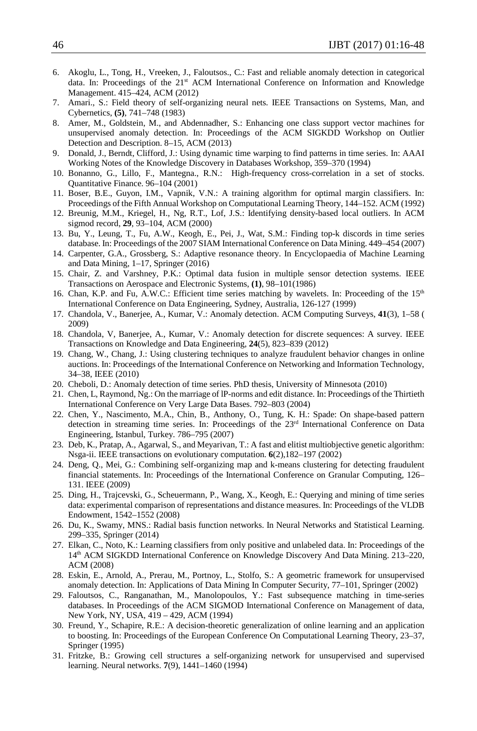- 6. Akoglu, L., Tong, H., Vreeken, J., Faloutsos., C.: Fast and reliable anomaly detection in categorical data. In: Proceedings of the 21<sup>st</sup> ACM International Conference on Information and Knowledge Management. 415–424, ACM (2012)
- 7. Amari., S.: Field theory of self-organizing neural nets. IEEE Transactions on Systems, Man, and Cybernetics, **(5)**, 741–748 (1983)
- 8. Amer, M., Goldstein, M., and Abdennadher, S.: Enhancing one class support vector machines for unsupervised anomaly detection. In: Proceedings of the ACM SIGKDD Workshop on Outlier Detection and Description. 8–15, ACM (2013)
- 9. Donald, J., Berndt, Clifford, J.: Using dynamic time warping to find patterns in time series. In: AAAI Working Notes of the Knowledge Discovery in Databases Workshop, 359–370 (1994)
- 10. Bonanno, G., Lillo, F., Mantegna., R.N.: High-frequency cross-correlation in a set of stocks. Quantitative Finance. 96–104 (2001)
- 11. Boser, B.E., Guyon, I.M., Vapnik, V.N.: A training algorithm for optimal margin classifiers. In: Proceedings of the Fifth Annual Workshop on Computational Learning Theory, 144–152. ACM (1992)
- 12. Breunig, M.M., Kriegel, H., Ng, R.T., Lof, J.S.: Identifying density-based local outliers. In ACM sigmod record, **29**, 93–104, ACM (2000)
- 13. Bu, Y., Leung, T., Fu, A.W., Keogh, E., Pei, J., Wat, S.M.: Finding top-k discords in time series database. In: Proceedings of the 2007 SIAM International Conference on Data Mining. 449–454 (2007)
- 14. Carpenter, G.A., Grossberg, S.: Adaptive resonance theory. In Encyclopaedia of Machine Learning and Data Mining, 1–17, Springer (2016)
- 15. Chair, Z. and Varshney, P.K.: Optimal data fusion in multiple sensor detection systems. IEEE Transactions on Aerospace and Electronic Systems, **(1)**, 98–101(1986)
- 16. Chan, K.P. and Fu, A.W.C.: Efficient time series matching by wavelets. In: Proceeding of the 15<sup>th</sup> International Conference on Data Engineering, Sydney, Australia, 126-127 (1999)
- 17. Chandola, V., Banerjee, A., Kumar, V.: Anomaly detection. ACM Computing Surveys, **41**(3), 1–58 ( 2009)
- 18. Chandola, V, Banerjee, A., Kumar, V.: Anomaly detection for discrete sequences: A survey. IEEE Transactions on Knowledge and Data Engineering, **24**(5), 823–839 (2012)
- 19. Chang, W., Chang, J.: Using clustering techniques to analyze fraudulent behavior changes in online auctions. In: Proceedings of the International Conference on Networking and Information Technology, 34–38, IEEE (2010)
- 20. Cheboli, D.: Anomaly detection of time series. PhD thesis, University of Minnesota (2010)
- 21. Chen, L, Raymond, Ng.: On the marriage of lP-norms and edit distance. In: Proceedings of the Thirtieth International Conference on Very Large Data Bases. 792–803 (2004)
- 22. Chen, Y., Nascimento, M.A., Chin, B., Anthony, O., Tung, K. H.: Spade: On shape-based pattern detection in streaming time series. In: Proceedings of the 23<sup>rd</sup> International Conference on Data Engineering, Istanbul, Turkey. 786–795 (2007)
- 23. Deb, K., Pratap, A., Agarwal, S., and Meyarivan, T.: A fast and elitist multiobjective genetic algorithm: Nsga-ii. IEEE transactions on evolutionary computation. **6**(2),182–197 (2002)
- 24. Deng, Q., Mei, G.: Combining self-organizing map and k-means clustering for detecting fraudulent financial statements. In: Proceedings of the International Conference on Granular Computing, 126– 131. IEEE (2009)
- 25. Ding, H., Trajcevski, G., Scheuermann, P., Wang, X., Keogh, E.: Querying and mining of time series data: experimental comparison of representations and distance measures. In: Proceedings of the VLDB Endowment, 1542–1552 (2008)
- 26. Du, K., Swamy, MNS.: Radial basis function networks. In Neural Networks and Statistical Learning. 299–335, Springer (2014)
- 27. Elkan, C., Noto, K.: Learning classifiers from only positive and unlabeled data. In: Proceedings of the 14th ACM SIGKDD International Conference on Knowledge Discovery And Data Mining. 213–220, ACM (2008)
- 28. Eskin, E., Arnold, A., Prerau, M., Portnoy, L., Stolfo, S.: A geometric framework for unsupervised anomaly detection. In: Applications of Data Mining In Computer Security, 77–101, Springer (2002)
- 29. Faloutsos, C., Ranganathan, M., Manolopoulos, Y.: Fast subsequence matching in time-series databases. In Proceedings of the ACM SIGMOD International Conference on Management of data, New York, NY, USA, 419 – 429, ACM (1994)
- 30. Freund, Y., Schapire, R.E.: A decision-theoretic generalization of online learning and an application to boosting. In: Proceedings of the European Conference On Computational Learning Theory, 23–37, Springer (1995)
- 31. Fritzke, B.: Growing cell structures a self-organizing network for unsupervised and supervised learning. Neural networks. **7**(9), 1441–1460 (1994)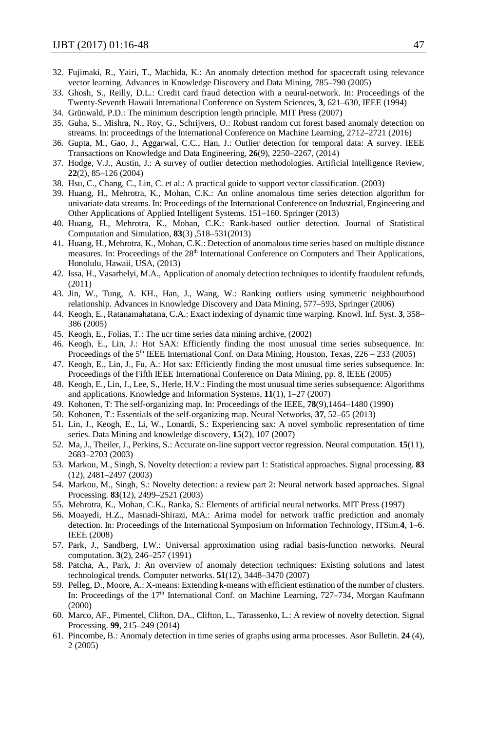- 32. Fujimaki, R., Yairi, T., Machida, K.: An anomaly detection method for spacecraft using relevance vector learning. Advances in Knowledge Discovery and Data Mining, 785–790 (2005)
- 33. Ghosh, S., Reilly, D.L.: Credit card fraud detection with a neural-network. In: Proceedings of the Twenty-Seventh Hawaii International Conference on System Sciences, **3**, 621–630, IEEE (1994)
- 34. Grünwald, P.D.: The minimum description length principle. MIT Press (2007)
- 35. Guha, S., Mishra, N., Roy, G., Schrijvers, O.: Robust random cut forest based anomaly detection on streams. In: proceedings of the International Conference on Machine Learning, 2712–2721 (2016)
- 36. Gupta, M., Gao, J., Aggarwal, C.C., Han, J.: Outlier detection for temporal data: A survey. IEEE Transactions on Knowledge and Data Engineering, **26**(9), 2250–2267, (2014)
- 37. Hodge, V.J., Austin, J.: A survey of outlier detection methodologies. Artificial Intelligence Review, **22**(2), 85–126 (2004)
- 38. Hsu, C., Chang, C., Lin, C. et al.: A practical guide to support vector classification. (2003)
- 39. Huang, H., Mehrotra, K., Mohan, C.K.: An online anomalous time series detection algorithm for univariate data streams. In: Proceedings of the International Conference on Industrial, Engineering and Other Applications of Applied Intelligent Systems. 151–160. Springer (2013)
- 40. Huang, H., Mehrotra, K., Mohan, C.K.: Rank-based outlier detection. Journal of Statistical Computation and Simulation, **83**(3) ,518–531(2013)
- 41. Huang, H., Mehrotra, K., Mohan, C.K.: Detection of anomalous time series based on multiple distance measures. In: Proceedings of the 28<sup>th</sup> International Conference on Computers and Their Applications, Honolulu, Hawaii, USA, (2013)
- 42. Issa, H., Vasarhelyi, M.A., Application of anomaly detection techniques to identify fraudulent refunds, (2011)
- 43. Jin, W., Tung, A. KH., Han, J., Wang, W.: Ranking outliers using symmetric neighbourhood relationship. Advances in Knowledge Discovery and Data Mining, 577–593, Springer (2006)
- 44. Keogh, E., Ratanamahatana, C.A.: Exact indexing of dynamic time warping. Knowl. Inf. Syst. **3**, 358– 386 (2005)
- 45. Keogh, E., Folias, T.: The ucr time series data mining archive, (2002)
- 46. Keogh, E., Lin, J.: Hot SAX: Efficiently finding the most unusual time series subsequence. In: Proceedings of the 5<sup>th</sup> IEEE International Conf. on Data Mining, Houston, Texas, 226 – 233 (2005)
- 47. Keogh, E., Lin, J., Fu, A.: Hot sax: Efficiently finding the most unusual time series subsequence. In: Proceedings of the Fifth IEEE International Conference on Data Mining, pp. 8, IEEE (2005)
- 48. Keogh, E., Lin, J., Lee, S., Herle, H.V.: Finding the most unusual time series subsequence: Algorithms and applications. Knowledge and Information Systems, **11**(1), 1–27 (2007)
- 49. Kohonen, T: The self-organizing map. In: Proceedings of the IEEE, **78**(9),1464–1480 (1990)
- 50. Kohonen, T.: Essentials of the self-organizing map. Neural Networks, **37**, 52–65 (2013)
- 51. Lin, J., Keogh, E., Li, W., Lonardi, S.: Experiencing sax: A novel symbolic representation of time series. Data Mining and knowledge discovery, **15**(2), 107 (2007)
- 52. Ma, J., Theiler, J., Perkins, S.: Accurate on-line support vector regression. Neural computation. **15**(11), 2683–2703 (2003)
- 53. Markou, M., Singh, S. Novelty detection: a review part 1: Statistical approaches. Signal processing. **83** (12), 2481–2497 (2003)
- 54. Markou, M., Singh, S.: Novelty detection: a review part 2: Neural network based approaches. Signal Processing. **83**(12), 2499–2521 (2003)
- 55. Mehrotra, K., Mohan, C.K., Ranka, S.: Elements of artificial neural networks. MIT Press (1997)
- 56. Moayedi, H.Z., Masnadi-Shirazi, MA.: Arima model for network traffic prediction and anomaly detection. In: Proceedings of the International Symposium on Information Technology, ITSim.**4**, 1–6. IEEE (2008)
- 57. Park, J., Sandberg, I.W.: Universal approximation using radial basis-function networks. Neural computation. **3**(2), 246–257 (1991)
- 58. Patcha, A., Park, J: An overview of anomaly detection techniques: Existing solutions and latest technological trends. Computer networks. **51**(12), 3448–3470 (2007)
- 59. Pelleg, D., Moore, A.: X-means: Extending k-means with efficient estimation of the number of clusters. In: Proceedings of the 17<sup>th</sup> International Conf. on Machine Learning, 727–734, Morgan Kaufmann (2000)
- 60. Marco, AF., Pimentel, Clifton, DA., Clifton, L., Tarassenko, L.: A review of novelty detection. Signal Processing. **99**, 215–249 (2014)
- 61. Pincombe, B.: Anomaly detection in time series of graphs using arma processes. Asor Bulletin. **24** (4), 2 (2005)